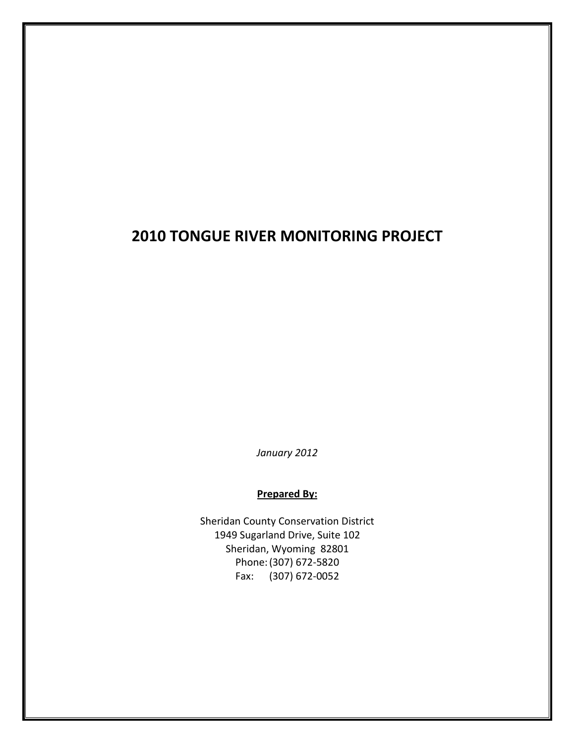# **2010 TONGUE RIVER MONITORING PROJECT**

*January 2012*

#### **Prepared By:**

Sheridan County Conservation District 1949 Sugarland Drive, Suite 102 Sheridan, Wyoming 82801 Phone:(307) 672-5820 Fax: (307) 672-0052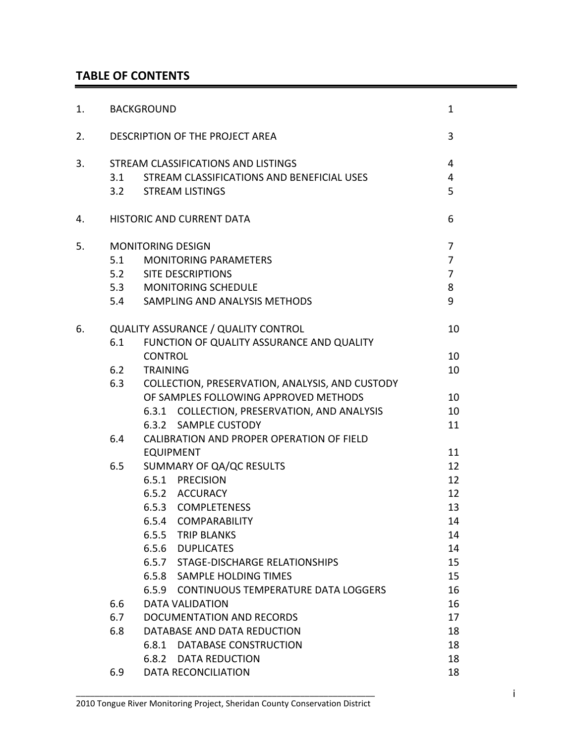# **TABLE OF CONTENTS**

| 1. |     | <b>BACKGROUND</b>                                                                                                                              | $\mathbf{1}$                                                 |  |  |  |  |
|----|-----|------------------------------------------------------------------------------------------------------------------------------------------------|--------------------------------------------------------------|--|--|--|--|
| 2. |     | DESCRIPTION OF THE PROJECT AREA                                                                                                                | 3                                                            |  |  |  |  |
| 3. | 3.1 | STREAM CLASSIFICATIONS AND LISTINGS<br>STREAM CLASSIFICATIONS AND BENEFICIAL USES<br>3.2 STREAM LISTINGS                                       | 4<br>4<br>5                                                  |  |  |  |  |
| 4. |     | <b>HISTORIC AND CURRENT DATA</b>                                                                                                               | 6                                                            |  |  |  |  |
| 5. |     | <b>MONITORING DESIGN</b><br>5.1 MONITORING PARAMETERS<br>5.2 SITE DESCRIPTIONS<br>5.3 MONITORING SCHEDULE<br>5.4 SAMPLING AND ANALYSIS METHODS | $\overline{7}$<br>$\overline{7}$<br>$\overline{7}$<br>8<br>9 |  |  |  |  |
| 6. | 6.1 | <b>QUALITY ASSURANCE / QUALITY CONTROL</b><br>FUNCTION OF QUALITY ASSURANCE AND QUALITY                                                        | 10                                                           |  |  |  |  |
|    |     | <b>CONTROL</b>                                                                                                                                 |                                                              |  |  |  |  |
|    | 6.2 | <b>TRAINING</b><br>10                                                                                                                          |                                                              |  |  |  |  |
|    | 6.3 | COLLECTION, PRESERVATION, ANALYSIS, AND CUSTODY                                                                                                |                                                              |  |  |  |  |
|    |     | OF SAMPLES FOLLOWING APPROVED METHODS                                                                                                          | 10                                                           |  |  |  |  |
|    |     | 6.3.1 COLLECTION, PRESERVATION, AND ANALYSIS                                                                                                   | 10                                                           |  |  |  |  |
|    |     | 6.3.2 SAMPLE CUSTODY                                                                                                                           | 11                                                           |  |  |  |  |
|    | 6.4 | CALIBRATION AND PROPER OPERATION OF FIELD                                                                                                      |                                                              |  |  |  |  |
|    |     | <b>EQUIPMENT</b>                                                                                                                               | 11                                                           |  |  |  |  |
|    | 6.5 | SUMMARY OF QA/QC RESULTS                                                                                                                       | 12                                                           |  |  |  |  |
|    |     | 6.5.1 PRECISION                                                                                                                                | 12                                                           |  |  |  |  |
|    |     | 6.5.2 ACCURACY                                                                                                                                 | 12                                                           |  |  |  |  |
|    |     | 6.5.3 COMPLETENESS                                                                                                                             | 13                                                           |  |  |  |  |
|    |     | 6.5.4 COMPARABILITY                                                                                                                            | 14                                                           |  |  |  |  |
|    |     | 6.5.5 TRIP BLANKS                                                                                                                              | 14                                                           |  |  |  |  |
|    |     | 6.5.6 DUPLICATES                                                                                                                               | 14                                                           |  |  |  |  |
|    |     | 6.5.7 STAGE-DISCHARGE RELATIONSHIPS                                                                                                            | 15                                                           |  |  |  |  |
|    |     | 6.5.8 SAMPLE HOLDING TIMES                                                                                                                     | 15                                                           |  |  |  |  |
|    |     | 6.5.9 CONTINUOUS TEMPERATURE DATA LOGGERS                                                                                                      | 16<br>16                                                     |  |  |  |  |
|    | 6.6 | <b>DATA VALIDATION</b>                                                                                                                         |                                                              |  |  |  |  |
|    | 6.7 | DOCUMENTATION AND RECORDS<br>17<br>18                                                                                                          |                                                              |  |  |  |  |
|    | 6.8 | DATABASE AND DATA REDUCTION                                                                                                                    |                                                              |  |  |  |  |
|    |     | 6.8.1 DATABASE CONSTRUCTION                                                                                                                    | 18<br>18                                                     |  |  |  |  |
|    |     | <b>DATA REDUCTION</b><br>6.8.2                                                                                                                 |                                                              |  |  |  |  |
|    | 6.9 | <b>DATA RECONCILIATION</b>                                                                                                                     | 18                                                           |  |  |  |  |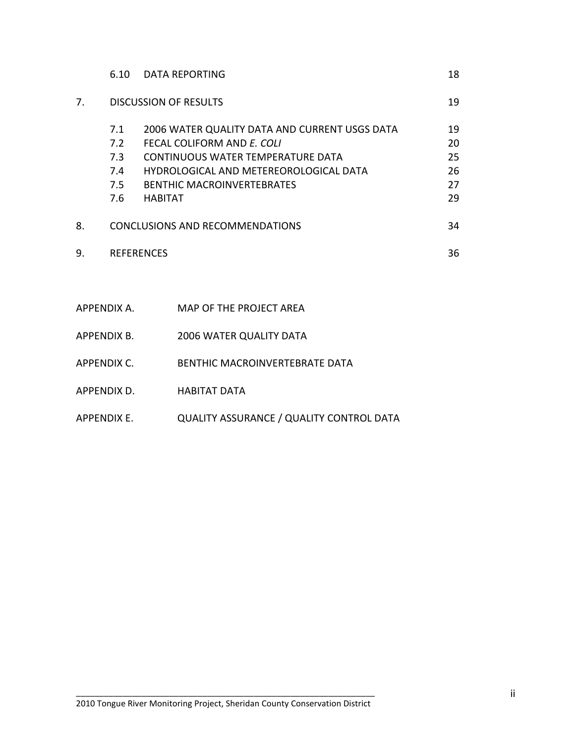|    | 6.10 | <b>DATA REPORTING</b>                         | 18 |
|----|------|-----------------------------------------------|----|
| 7. |      | <b>DISCUSSION OF RESULTS</b>                  | 19 |
|    | 7.1  | 2006 WATER QUALITY DATA AND CURRENT USGS DATA | 19 |
|    | 7.2  | FFCAL COLIFORM AND F. COLI                    | 20 |
|    | 7.3  | <b>CONTINUOUS WATER TEMPERATURE DATA</b>      | 25 |
|    | 7.4  | HYDROLOGICAL AND METEREOROLOGICAL DATA        | 26 |
|    | 7.5  | <b>BENTHIC MACROINVERTEBRATES</b>             | 27 |
|    | 7.6  | <b>HABITAT</b>                                | 29 |
| 8. |      | <b>CONCLUSIONS AND RECOMMENDATIONS</b>        | 34 |
| 9. |      | <b>REFERENCES</b>                             | 36 |
|    |      |                                               |    |

| APPENDIX A. | MAP OF THE PROJECT AREA                         |
|-------------|-------------------------------------------------|
| APPENDIX B. | <b>2006 WATER QUALITY DATA</b>                  |
| APPFNDIX C. | BENTHIC MACROINVERTEBRATE DATA                  |
| APPENDIX D. | <b>HABITAT DATA</b>                             |
| APPENDIX E. | <b>QUALITY ASSURANCE / QUALITY CONTROL DATA</b> |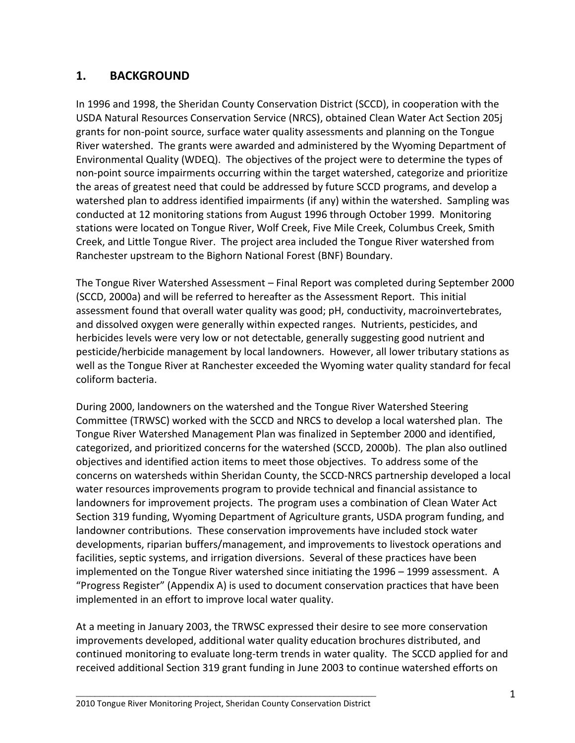# **1. BACKGROUND**

In 1996 and 1998, the Sheridan County Conservation District (SCCD), in cooperation with the USDA Natural Resources Conservation Service (NRCS), obtained Clean Water Act Section 205j grants for non-point source, surface water quality assessments and planning on the Tongue River watershed. The grants were awarded and administered by the Wyoming Department of Environmental Quality (WDEQ). The objectives of the project were to determine the types of non-point source impairments occurring within the target watershed, categorize and prioritize the areas of greatest need that could be addressed by future SCCD programs, and develop a watershed plan to address identified impairments (if any) within the watershed. Sampling was conducted at 12 monitoring stations from August 1996 through October 1999. Monitoring stations were located on Tongue River, Wolf Creek, Five Mile Creek, Columbus Creek, Smith Creek, and Little Tongue River. The project area included the Tongue River watershed from Ranchester upstream to the Bighorn National Forest (BNF) Boundary.

The Tongue River Watershed Assessment – Final Report was completed during September 2000 (SCCD, 2000a) and will be referred to hereafter as the Assessment Report. This initial assessment found that overall water quality was good; pH, conductivity, macroinvertebrates, and dissolved oxygen were generally within expected ranges. Nutrients, pesticides, and herbicides levels were very low or not detectable, generally suggesting good nutrient and pesticide/herbicide management by local landowners. However, all lower tributary stations as well as the Tongue River at Ranchester exceeded the Wyoming water quality standard for fecal coliform bacteria.

During 2000, landowners on the watershed and the Tongue River Watershed Steering Committee (TRWSC) worked with the SCCD and NRCS to develop a local watershed plan. The Tongue River Watershed Management Plan was finalized in September 2000 and identified, categorized, and prioritized concerns for the watershed (SCCD, 2000b). The plan also outlined objectives and identified action items to meet those objectives. To address some of the concerns on watersheds within Sheridan County, the SCCD-NRCS partnership developed a local water resources improvements program to provide technical and financial assistance to landowners for improvement projects. The program uses a combination of Clean Water Act Section 319 funding, Wyoming Department of Agriculture grants, USDA program funding, and landowner contributions. These conservation improvements have included stock water developments, riparian buffers/management, and improvements to livestock operations and facilities, septic systems, and irrigation diversions. Several of these practices have been implemented on the Tongue River watershed since initiating the 1996 – 1999 assessment. A "Progress Register" (Appendix A) is used to document conservation practices that have been implemented in an effort to improve local water quality.

At a meeting in January 2003, the TRWSC expressed their desire to see more conservation improvements developed, additional water quality education brochures distributed, and continued monitoring to evaluate long-term trends in water quality. The SCCD applied for and received additional Section 319 grant funding in June 2003 to continue watershed efforts on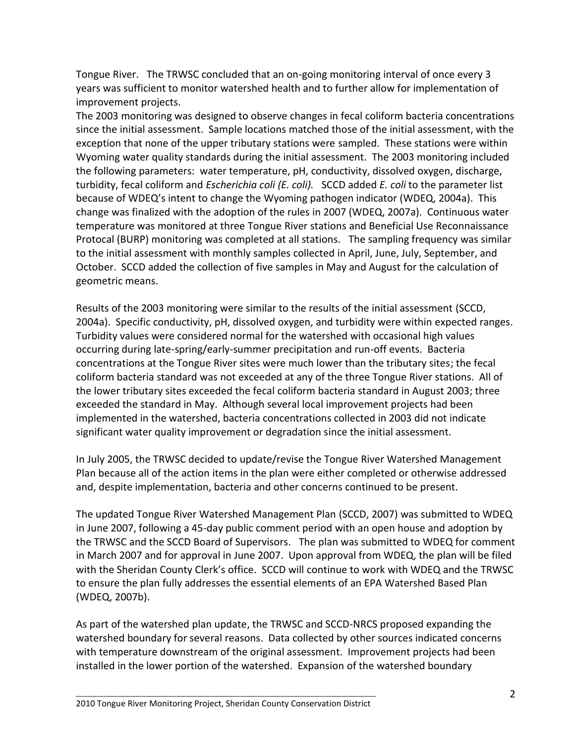Tongue River. The TRWSC concluded that an on-going monitoring interval of once every 3 years was sufficient to monitor watershed health and to further allow for implementation of improvement projects.

The 2003 monitoring was designed to observe changes in fecal coliform bacteria concentrations since the initial assessment. Sample locations matched those of the initial assessment, with the exception that none of the upper tributary stations were sampled. These stations were within Wyoming water quality standards during the initial assessment. The 2003 monitoring included the following parameters: water temperature, pH, conductivity, dissolved oxygen, discharge, turbidity, fecal coliform and *Escherichia coli (E. coli).* SCCD added *E. coli* to the parameter list because of WDEQ's intent to change the Wyoming pathogen indicator (WDEQ, 2004a). This change was finalized with the adoption of the rules in 2007 (WDEQ, 2007a). Continuous water temperature was monitored at three Tongue River stations and Beneficial Use Reconnaissance Protocal (BURP) monitoring was completed at all stations. The sampling frequency was similar to the initial assessment with monthly samples collected in April, June, July, September, and October. SCCD added the collection of five samples in May and August for the calculation of geometric means.

Results of the 2003 monitoring were similar to the results of the initial assessment (SCCD, 2004a). Specific conductivity, pH, dissolved oxygen, and turbidity were within expected ranges. Turbidity values were considered normal for the watershed with occasional high values occurring during late-spring/early-summer precipitation and run-off events. Bacteria concentrations at the Tongue River sites were much lower than the tributary sites; the fecal coliform bacteria standard was not exceeded at any of the three Tongue River stations. All of the lower tributary sites exceeded the fecal coliform bacteria standard in August 2003; three exceeded the standard in May. Although several local improvement projects had been implemented in the watershed, bacteria concentrations collected in 2003 did not indicate significant water quality improvement or degradation since the initial assessment.

In July 2005, the TRWSC decided to update/revise the Tongue River Watershed Management Plan because all of the action items in the plan were either completed or otherwise addressed and, despite implementation, bacteria and other concerns continued to be present.

The updated Tongue River Watershed Management Plan (SCCD, 2007) was submitted to WDEQ in June 2007, following a 45-day public comment period with an open house and adoption by the TRWSC and the SCCD Board of Supervisors. The plan was submitted to WDEQ for comment in March 2007 and for approval in June 2007. Upon approval from WDEQ, the plan will be filed with the Sheridan County Clerk's office. SCCD will continue to work with WDEQ and the TRWSC to ensure the plan fully addresses the essential elements of an EPA Watershed Based Plan (WDEQ, 2007b).

As part of the watershed plan update, the TRWSC and SCCD-NRCS proposed expanding the watershed boundary for several reasons. Data collected by other sources indicated concerns with temperature downstream of the original assessment. Improvement projects had been installed in the lower portion of the watershed. Expansion of the watershed boundary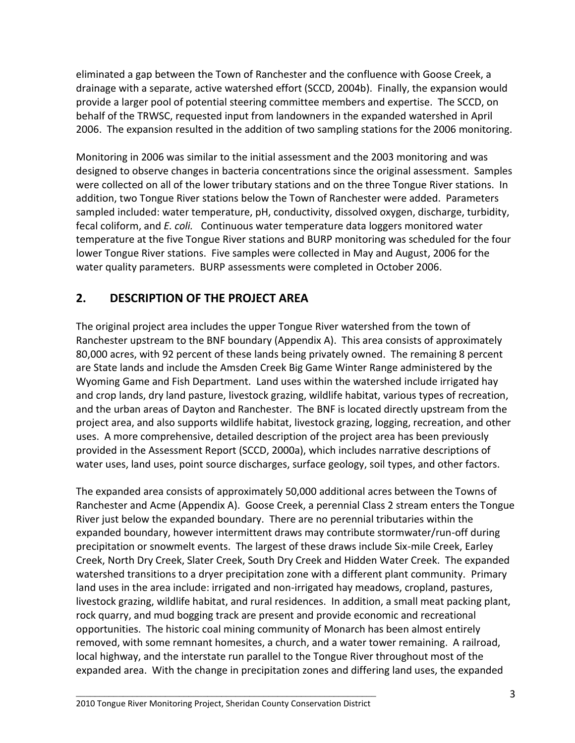eliminated a gap between the Town of Ranchester and the confluence with Goose Creek, a drainage with a separate, active watershed effort (SCCD, 2004b). Finally, the expansion would provide a larger pool of potential steering committee members and expertise. The SCCD, on behalf of the TRWSC, requested input from landowners in the expanded watershed in April 2006. The expansion resulted in the addition of two sampling stations for the 2006 monitoring.

Monitoring in 2006 was similar to the initial assessment and the 2003 monitoring and was designed to observe changes in bacteria concentrations since the original assessment. Samples were collected on all of the lower tributary stations and on the three Tongue River stations. In addition, two Tongue River stations below the Town of Ranchester were added. Parameters sampled included: water temperature, pH, conductivity, dissolved oxygen, discharge, turbidity, fecal coliform, and *E. coli.* Continuous water temperature data loggers monitored water temperature at the five Tongue River stations and BURP monitoring was scheduled for the four lower Tongue River stations. Five samples were collected in May and August, 2006 for the water quality parameters. BURP assessments were completed in October 2006.

# **2. DESCRIPTION OF THE PROJECT AREA**

The original project area includes the upper Tongue River watershed from the town of Ranchester upstream to the BNF boundary (Appendix A). This area consists of approximately 80,000 acres, with 92 percent of these lands being privately owned. The remaining 8 percent are State lands and include the Amsden Creek Big Game Winter Range administered by the Wyoming Game and Fish Department. Land uses within the watershed include irrigated hay and crop lands, dry land pasture, livestock grazing, wildlife habitat, various types of recreation, and the urban areas of Dayton and Ranchester. The BNF is located directly upstream from the project area, and also supports wildlife habitat, livestock grazing, logging, recreation, and other uses. A more comprehensive, detailed description of the project area has been previously provided in the Assessment Report (SCCD, 2000a), which includes narrative descriptions of water uses, land uses, point source discharges, surface geology, soil types, and other factors.

The expanded area consists of approximately 50,000 additional acres between the Towns of Ranchester and Acme (Appendix A). Goose Creek, a perennial Class 2 stream enters the Tongue River just below the expanded boundary. There are no perennial tributaries within the expanded boundary, however intermittent draws may contribute stormwater/run-off during precipitation or snowmelt events. The largest of these draws include Six-mile Creek, Earley Creek, North Dry Creek, Slater Creek, South Dry Creek and Hidden Water Creek. The expanded watershed transitions to a dryer precipitation zone with a different plant community. Primary land uses in the area include: irrigated and non-irrigated hay meadows, cropland, pastures, livestock grazing, wildlife habitat, and rural residences. In addition, a small meat packing plant, rock quarry, and mud bogging track are present and provide economic and recreational opportunities. The historic coal mining community of Monarch has been almost entirely removed, with some remnant homesites, a church, and a water tower remaining. A railroad, local highway, and the interstate run parallel to the Tongue River throughout most of the expanded area. With the change in precipitation zones and differing land uses, the expanded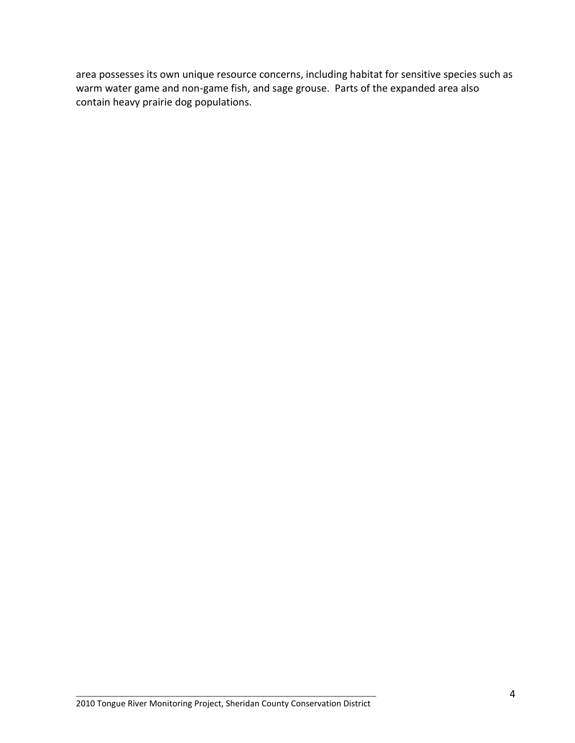area possesses its own unique resource concerns, including habitat for sensitive species such as warm water game and non-game fish, and sage grouse. Parts of the expanded area also contain heavy prairie dog populations.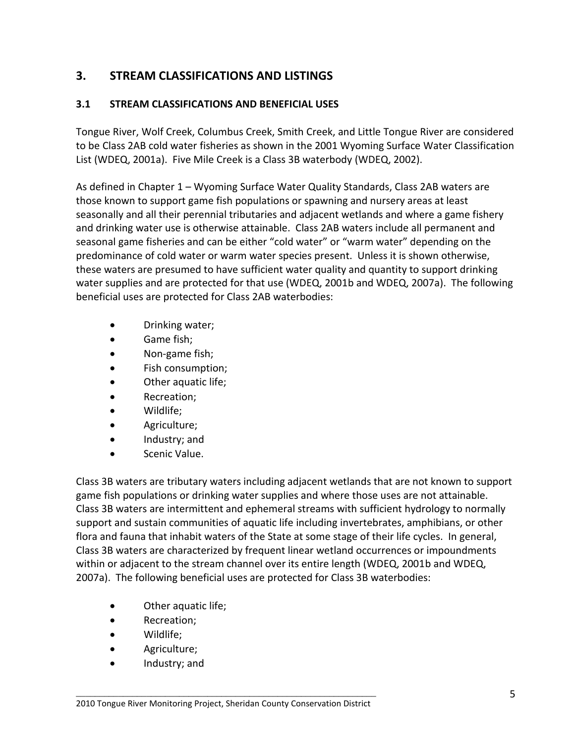# **3. STREAM CLASSIFICATIONS AND LISTINGS**

### **3.1 STREAM CLASSIFICATIONS AND BENEFICIAL USES**

Tongue River, Wolf Creek, Columbus Creek, Smith Creek, and Little Tongue River are considered to be Class 2AB cold water fisheries as shown in the 2001 Wyoming Surface Water Classification List (WDEQ, 2001a). Five Mile Creek is a Class 3B waterbody (WDEQ, 2002).

As defined in Chapter 1 – Wyoming Surface Water Quality Standards, Class 2AB waters are those known to support game fish populations or spawning and nursery areas at least seasonally and all their perennial tributaries and adjacent wetlands and where a game fishery and drinking water use is otherwise attainable. Class 2AB waters include all permanent and seasonal game fisheries and can be either "cold water" or "warm water" depending on the predominance of cold water or warm water species present. Unless it is shown otherwise, these waters are presumed to have sufficient water quality and quantity to support drinking water supplies and are protected for that use (WDEQ, 2001b and WDEQ, 2007a). The following beneficial uses are protected for Class 2AB waterbodies:

- Drinking water;
- Game fish;
- Non-game fish;
- Fish consumption;
- Other aquatic life;
- Recreation;
- Wildlife;
- Agriculture;
- Industry; and
- Scenic Value.

Class 3B waters are tributary waters including adjacent wetlands that are not known to support game fish populations or drinking water supplies and where those uses are not attainable. Class 3B waters are intermittent and ephemeral streams with sufficient hydrology to normally support and sustain communities of aquatic life including invertebrates, amphibians, or other flora and fauna that inhabit waters of the State at some stage of their life cycles. In general, Class 3B waters are characterized by frequent linear wetland occurrences or impoundments within or adjacent to the stream channel over its entire length (WDEQ, 2001b and WDEQ, 2007a). The following beneficial uses are protected for Class 3B waterbodies:

- Other aquatic life;
- Recreation;
- Wildlife;
- Agriculture;
- Industry; and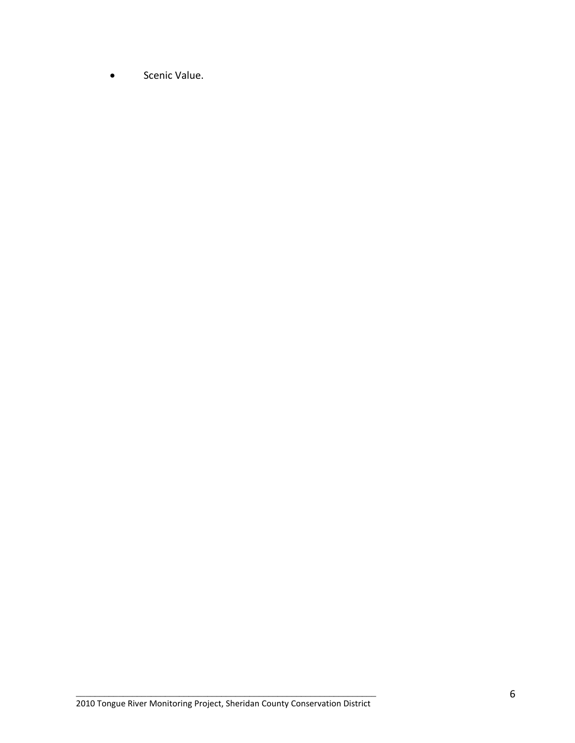**.** Scenic Value.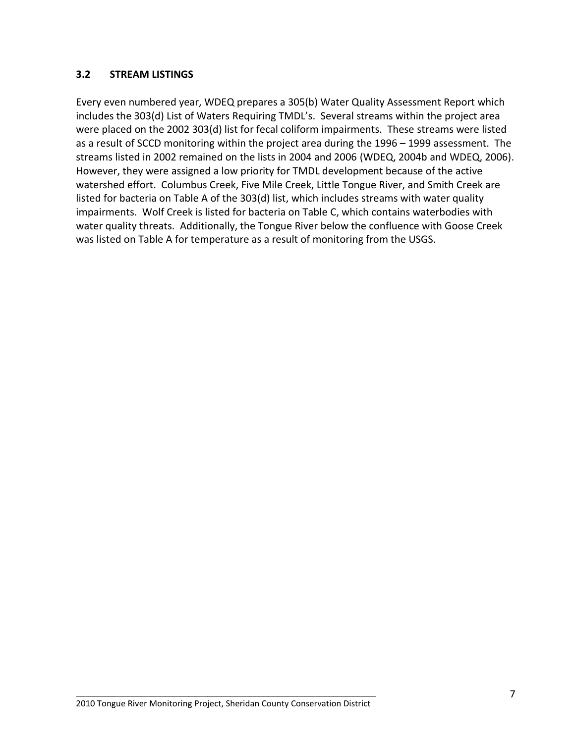#### **3.2 STREAM LISTINGS**

Every even numbered year, WDEQ prepares a 305(b) Water Quality Assessment Report which includes the 303(d) List of Waters Requiring TMDL's. Several streams within the project area were placed on the 2002 303(d) list for fecal coliform impairments. These streams were listed as a result of SCCD monitoring within the project area during the 1996 – 1999 assessment. The streams listed in 2002 remained on the lists in 2004 and 2006 (WDEQ, 2004b and WDEQ, 2006). However, they were assigned a low priority for TMDL development because of the active watershed effort. Columbus Creek, Five Mile Creek, Little Tongue River, and Smith Creek are listed for bacteria on Table A of the 303(d) list, which includes streams with water quality impairments. Wolf Creek is listed for bacteria on Table C, which contains waterbodies with water quality threats. Additionally, the Tongue River below the confluence with Goose Creek was listed on Table A for temperature as a result of monitoring from the USGS.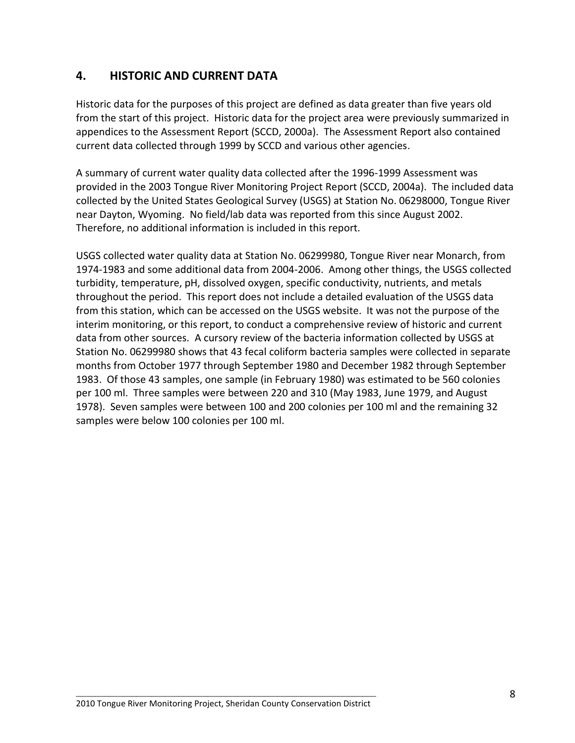# **4. HISTORIC AND CURRENT DATA**

Historic data for the purposes of this project are defined as data greater than five years old from the start of this project. Historic data for the project area were previously summarized in appendices to the Assessment Report (SCCD, 2000a). The Assessment Report also contained current data collected through 1999 by SCCD and various other agencies.

A summary of current water quality data collected after the 1996-1999 Assessment was provided in the 2003 Tongue River Monitoring Project Report (SCCD, 2004a). The included data collected by the United States Geological Survey (USGS) at Station No. 06298000, Tongue River near Dayton, Wyoming. No field/lab data was reported from this since August 2002. Therefore, no additional information is included in this report.

USGS collected water quality data at Station No. 06299980, Tongue River near Monarch, from 1974-1983 and some additional data from 2004-2006. Among other things, the USGS collected turbidity, temperature, pH, dissolved oxygen, specific conductivity, nutrients, and metals throughout the period. This report does not include a detailed evaluation of the USGS data from this station, which can be accessed on the USGS website. It was not the purpose of the interim monitoring, or this report, to conduct a comprehensive review of historic and current data from other sources. A cursory review of the bacteria information collected by USGS at Station No. 06299980 shows that 43 fecal coliform bacteria samples were collected in separate months from October 1977 through September 1980 and December 1982 through September 1983. Of those 43 samples, one sample (in February 1980) was estimated to be 560 colonies per 100 ml. Three samples were between 220 and 310 (May 1983, June 1979, and August 1978). Seven samples were between 100 and 200 colonies per 100 ml and the remaining 32 samples were below 100 colonies per 100 ml.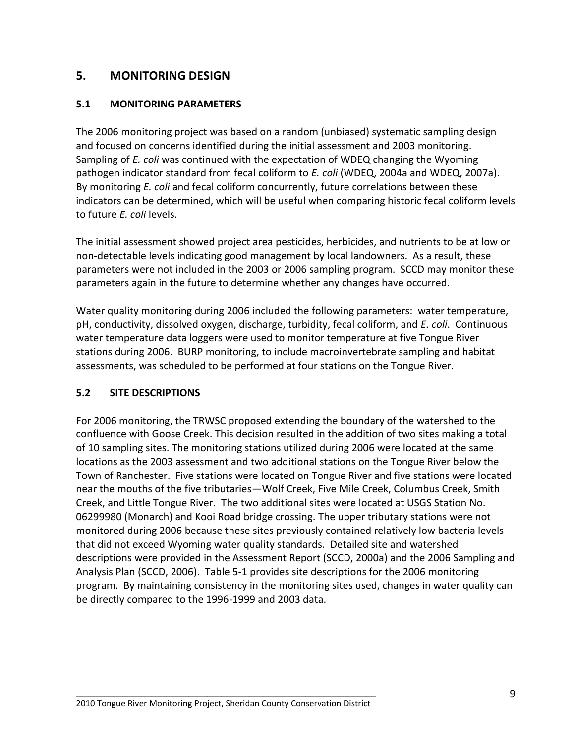# **5. MONITORING DESIGN**

#### **5.1 MONITORING PARAMETERS**

The 2006 monitoring project was based on a random (unbiased) systematic sampling design and focused on concerns identified during the initial assessment and 2003 monitoring. Sampling of *E. coli* was continued with the expectation of WDEQ changing the Wyoming pathogen indicator standard from fecal coliform to *E. coli* (WDEQ, 2004a and WDEQ, 2007a). By monitoring *E. coli* and fecal coliform concurrently, future correlations between these indicators can be determined, which will be useful when comparing historic fecal coliform levels to future *E. coli* levels.

The initial assessment showed project area pesticides, herbicides, and nutrients to be at low or non-detectable levels indicating good management by local landowners. As a result, these parameters were not included in the 2003 or 2006 sampling program. SCCD may monitor these parameters again in the future to determine whether any changes have occurred.

Water quality monitoring during 2006 included the following parameters: water temperature, pH, conductivity, dissolved oxygen, discharge, turbidity, fecal coliform, and *E. coli*. Continuous water temperature data loggers were used to monitor temperature at five Tongue River stations during 2006. BURP monitoring, to include macroinvertebrate sampling and habitat assessments, was scheduled to be performed at four stations on the Tongue River.

#### **5.2 SITE DESCRIPTIONS**

For 2006 monitoring, the TRWSC proposed extending the boundary of the watershed to the confluence with Goose Creek. This decision resulted in the addition of two sites making a total of 10 sampling sites. The monitoring stations utilized during 2006 were located at the same locations as the 2003 assessment and two additional stations on the Tongue River below the Town of Ranchester. Five stations were located on Tongue River and five stations were located near the mouths of the five tributaries—Wolf Creek, Five Mile Creek, Columbus Creek, Smith Creek, and Little Tongue River. The two additional sites were located at USGS Station No. 06299980 (Monarch) and Kooi Road bridge crossing. The upper tributary stations were not monitored during 2006 because these sites previously contained relatively low bacteria levels that did not exceed Wyoming water quality standards. Detailed site and watershed descriptions were provided in the Assessment Report (SCCD, 2000a) and the 2006 Sampling and Analysis Plan (SCCD, 2006). Table 5-1 provides site descriptions for the 2006 monitoring program. By maintaining consistency in the monitoring sites used, changes in water quality can be directly compared to the 1996-1999 and 2003 data.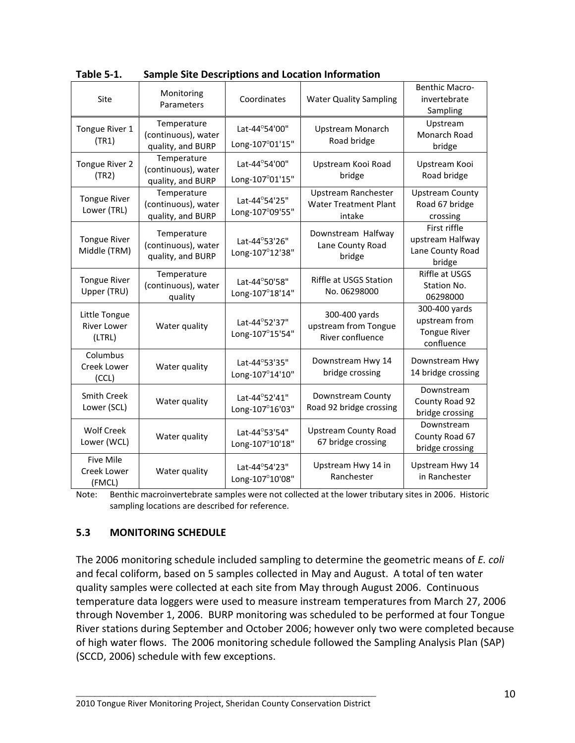| Site                                          | Monitoring<br>Parameters                                | Coordinates<br><b>Water Quality Sampling</b><br>Lat-44°54'00"<br>Upstream Monarch<br>Road bridge<br>Long-107°01'15" |                                                                      | <b>Benthic Macro-</b><br>invertebrate<br>Sampling                   |
|-----------------------------------------------|---------------------------------------------------------|---------------------------------------------------------------------------------------------------------------------|----------------------------------------------------------------------|---------------------------------------------------------------------|
| Tongue River 1<br>(TR1)                       | Temperature<br>(continuous), water<br>quality, and BURP |                                                                                                                     |                                                                      | Upstream<br>Monarch Road<br>bridge                                  |
| Tongue River 2<br>(TR2)                       | Temperature<br>(continuous), water<br>quality, and BURP | Lat-44°54'00"<br>Long-107°01'15"                                                                                    | Upstream Kooi Road<br>bridge                                         | Upstream Kooi<br>Road bridge                                        |
| <b>Tongue River</b><br>Lower (TRL)            | Temperature<br>(continuous), water<br>quality, and BURP | Lat-44°54'25"<br>Long-107°09'55"                                                                                    | <b>Upstream Ranchester</b><br><b>Water Treatment Plant</b><br>intake | <b>Upstream County</b><br>Road 67 bridge<br>crossing                |
| <b>Tongue River</b><br>Middle (TRM)           | Temperature<br>(continuous), water<br>quality, and BURP | Lat-44°53'26"<br>Long-107°12'38"                                                                                    | Downstream Halfway<br>Lane County Road<br>bridge                     | First riffle<br>upstream Halfway<br>Lane County Road<br>bridge      |
| <b>Tongue River</b><br>Upper (TRU)            | Temperature<br>(continuous), water<br>quality           | Lat-44°50'58"<br>Long-107°18'14"                                                                                    | Riffle at USGS Station<br>No. 06298000                               | Riffle at USGS<br>Station No.<br>06298000                           |
| Little Tongue<br><b>River Lower</b><br>(LTRL) | Water quality                                           | Lat-44°52'37"<br>Long-107°15'54"                                                                                    | 300-400 yards<br>upstream from Tongue<br>River confluence            | 300-400 yards<br>upstream from<br><b>Tongue River</b><br>confluence |
| Columbus<br>Creek Lower<br>(CCL)              | Water quality                                           | Lat-44°53'35"<br>Long-107°14'10"                                                                                    | Downstream Hwy 14<br>bridge crossing                                 | Downstream Hwy<br>14 bridge crossing                                |
| <b>Smith Creek</b><br>Lower (SCL)             | Water quality                                           | Lat-44°52'41"<br>Long-107°16'03"                                                                                    | Downstream County<br>Road 92 bridge crossing                         | Downstream<br>County Road 92<br>bridge crossing                     |
| <b>Wolf Creek</b><br>Lower (WCL)              | Water quality                                           | Lat-44°53'54"<br>Long-107°10'18"                                                                                    | <b>Upstream County Road</b><br>67 bridge crossing                    | Downstream<br>County Road 67<br>bridge crossing                     |
| <b>Five Mile</b><br>Creek Lower<br>(FMCL)     | Water quality                                           | Lat-44°54'23"<br>Long-107°10'08"                                                                                    | Upstream Hwy 14 in<br>Ranchester                                     | Upstream Hwy 14<br>in Ranchester                                    |

**Table 5-1. Sample Site Descriptions and Location Information**

Note: Benthic macroinvertebrate samples were not collected at the lower tributary sites in 2006. Historic sampling locations are described for reference.

#### **5.3 MONITORING SCHEDULE**

The 2006 monitoring schedule included sampling to determine the geometric means of *E. coli* and fecal coliform, based on 5 samples collected in May and August. A total of ten water quality samples were collected at each site from May through August 2006. Continuous temperature data loggers were used to measure instream temperatures from March 27, 2006 through November 1, 2006. BURP monitoring was scheduled to be performed at four Tongue River stations during September and October 2006; however only two were completed because of high water flows. The 2006 monitoring schedule followed the Sampling Analysis Plan (SAP) (SCCD, 2006) schedule with few exceptions.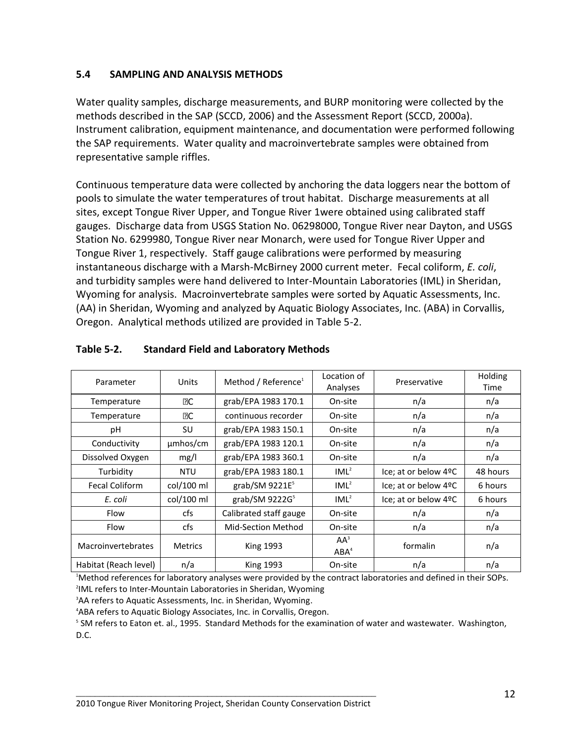#### **5.4 SAMPLING AND ANALYSIS METHODS**

Water quality samples, discharge measurements, and BURP monitoring were collected by the methods described in the SAP (SCCD, 2006) and the Assessment Report (SCCD, 2000a). Instrument calibration, equipment maintenance, and documentation were performed following the SAP requirements. Water quality and macroinvertebrate samples were obtained from representative sample riffles.

Continuous temperature data were collected by anchoring the data loggers near the bottom of pools to simulate the water temperatures of trout habitat. Discharge measurements at all sites, except Tongue River Upper, and Tongue River 1were obtained using calibrated staff gauges. Discharge data from USGS Station No. 06298000, Tongue River near Dayton, and USGS Station No. 6299980, Tongue River near Monarch, were used for Tongue River Upper and Tongue River 1, respectively. Staff gauge calibrations were performed by measuring instantaneous discharge with a Marsh-McBirney 2000 current meter. Fecal coliform, *E. coli*, and turbidity samples were hand delivered to Inter-Mountain Laboratories (IML) in Sheridan, Wyoming for analysis. Macroinvertebrate samples were sorted by Aquatic Assessments, Inc. (AA) in Sheridan, Wyoming and analyzed by Aquatic Biology Associates, Inc. (ABA) in Corvallis, Oregon. Analytical methods utilized are provided in Table 5-2.

| Parameter             | Units          | Method / Reference <sup>1</sup> | Location of<br>Analyses    | Preservative         | Holding<br>Time |
|-----------------------|----------------|---------------------------------|----------------------------|----------------------|-----------------|
| Temperature           | <b>PC</b>      | grab/EPA 1983 170.1             | On-site                    | n/a                  | n/a             |
| Temperature           | <b>BC</b>      | continuous recorder             | On-site                    | n/a                  | n/a             |
| рH                    | SU             | grab/EPA 1983 150.1             | On-site                    | n/a                  | n/a             |
| Conductivity          | umhos/cm       | grab/EPA 1983 120.1             | On-site                    | n/a                  | n/a             |
| Dissolved Oxygen      | mg/l           | grab/EPA 1983 360.1             | On-site                    | n/a                  | n/a             |
| Turbidity             | <b>NTU</b>     | grab/EPA 1983 180.1             | IML <sup>2</sup>           | Ice; at or below 4ºC | 48 hours        |
| <b>Fecal Coliform</b> | col/100 ml     | grab/SM 9221E <sup>5</sup>      | IML <sup>2</sup>           | Ice; at or below 4ºC | 6 hours         |
| E. coli               | col/100 ml     | grab/SM 9222G <sup>5</sup>      | IML <sup>2</sup>           | Ice; at or below 4ºC | 6 hours         |
| Flow                  | cfs            | Calibrated staff gauge          | On-site                    | n/a                  | n/a             |
| Flow                  | cfs            | <b>Mid-Section Method</b>       | On-site                    | n/a                  | n/a             |
| Macroinvertebrates    | <b>Metrics</b> | <b>King 1993</b>                | $AA^3$<br>ABA <sup>4</sup> | formalin             | n/a             |
| Habitat (Reach level) | n/a            | <b>King 1993</b>                | On-site                    | n/a                  | n/a             |

#### **Table 5-2. Standard Field and Laboratory Methods**

<sup>1</sup>Method references for laboratory analyses were provided by the contract laboratories and defined in their SOPs.

2 IML refers to Inter-Mountain Laboratories in Sheridan, Wyoming

<sup>3</sup>AA refers to Aquatic Assessments, Inc. in Sheridan, Wyoming.

<sup>4</sup>ABA refers to Aquatic Biology Associates, Inc. in Corvallis, Oregon.

5 SM refers to Eaton et. al., 1995. Standard Methods for the examination of water and wastewater. Washington, D.C.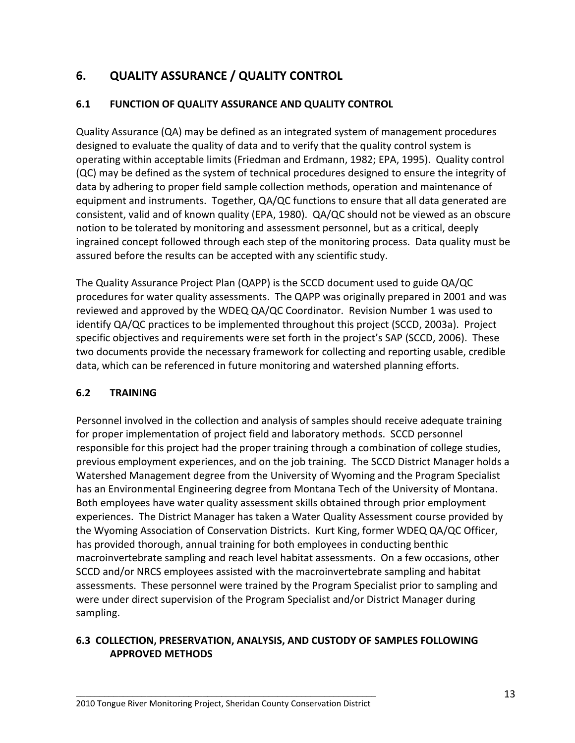# **6. QUALITY ASSURANCE / QUALITY CONTROL**

# **6.1 FUNCTION OF QUALITY ASSURANCE AND QUALITY CONTROL**

Quality Assurance (QA) may be defined as an integrated system of management procedures designed to evaluate the quality of data and to verify that the quality control system is operating within acceptable limits (Friedman and Erdmann, 1982; EPA, 1995). Quality control (QC) may be defined as the system of technical procedures designed to ensure the integrity of data by adhering to proper field sample collection methods, operation and maintenance of equipment and instruments. Together, QA/QC functions to ensure that all data generated are consistent, valid and of known quality (EPA, 1980). QA/QC should not be viewed as an obscure notion to be tolerated by monitoring and assessment personnel, but as a critical, deeply ingrained concept followed through each step of the monitoring process. Data quality must be assured before the results can be accepted with any scientific study.

The Quality Assurance Project Plan (QAPP) is the SCCD document used to guide QA/QC procedures for water quality assessments. The QAPP was originally prepared in 2001 and was reviewed and approved by the WDEQ QA/QC Coordinator. Revision Number 1 was used to identify QA/QC practices to be implemented throughout this project (SCCD, 2003a). Project specific objectives and requirements were set forth in the project's SAP (SCCD, 2006). These two documents provide the necessary framework for collecting and reporting usable, credible data, which can be referenced in future monitoring and watershed planning efforts.

#### **6.2 TRAINING**

Personnel involved in the collection and analysis of samples should receive adequate training for proper implementation of project field and laboratory methods. SCCD personnel responsible for this project had the proper training through a combination of college studies, previous employment experiences, and on the job training. The SCCD District Manager holds a Watershed Management degree from the University of Wyoming and the Program Specialist has an Environmental Engineering degree from Montana Tech of the University of Montana. Both employees have water quality assessment skills obtained through prior employment experiences. The District Manager has taken a Water Quality Assessment course provided by the Wyoming Association of Conservation Districts. Kurt King, former WDEQ QA/QC Officer, has provided thorough, annual training for both employees in conducting benthic macroinvertebrate sampling and reach level habitat assessments. On a few occasions, other SCCD and/or NRCS employees assisted with the macroinvertebrate sampling and habitat assessments. These personnel were trained by the Program Specialist prior to sampling and were under direct supervision of the Program Specialist and/or District Manager during sampling.

### **6.3 COLLECTION, PRESERVATION, ANALYSIS, AND CUSTODY OF SAMPLES FOLLOWING APPROVED METHODS**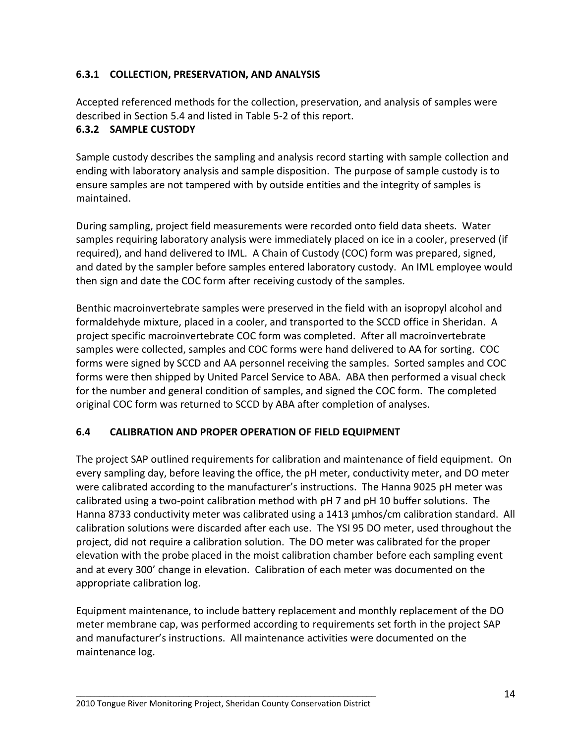## **6.3.1 COLLECTION, PRESERVATION, AND ANALYSIS**

Accepted referenced methods for the collection, preservation, and analysis of samples were described in Section 5.4 and listed in Table 5-2 of this report.

#### **6.3.2 SAMPLE CUSTODY**

Sample custody describes the sampling and analysis record starting with sample collection and ending with laboratory analysis and sample disposition. The purpose of sample custody is to ensure samples are not tampered with by outside entities and the integrity of samples is maintained.

During sampling, project field measurements were recorded onto field data sheets. Water samples requiring laboratory analysis were immediately placed on ice in a cooler, preserved (if required), and hand delivered to IML. A Chain of Custody (COC) form was prepared, signed, and dated by the sampler before samples entered laboratory custody. An IML employee would then sign and date the COC form after receiving custody of the samples.

Benthic macroinvertebrate samples were preserved in the field with an isopropyl alcohol and formaldehyde mixture, placed in a cooler, and transported to the SCCD office in Sheridan. A project specific macroinvertebrate COC form was completed. After all macroinvertebrate samples were collected, samples and COC forms were hand delivered to AA for sorting. COC forms were signed by SCCD and AA personnel receiving the samples. Sorted samples and COC forms were then shipped by United Parcel Service to ABA. ABA then performed a visual check for the number and general condition of samples, and signed the COC form. The completed original COC form was returned to SCCD by ABA after completion of analyses.

#### **6.4 CALIBRATION AND PROPER OPERATION OF FIELD EQUIPMENT**

The project SAP outlined requirements for calibration and maintenance of field equipment. On every sampling day, before leaving the office, the pH meter, conductivity meter, and DO meter were calibrated according to the manufacturer's instructions. The Hanna 9025 pH meter was calibrated using a two-point calibration method with pH 7 and pH 10 buffer solutions. The Hanna 8733 conductivity meter was calibrated using a 1413  $\mu$ mhos/cm calibration standard. All calibration solutions were discarded after each use. The YSI 95 DO meter, used throughout the project, did not require a calibration solution. The DO meter was calibrated for the proper elevation with the probe placed in the moist calibration chamber before each sampling event and at every 300' change in elevation. Calibration of each meter was documented on the appropriate calibration log.

Equipment maintenance, to include battery replacement and monthly replacement of the DO meter membrane cap, was performed according to requirements set forth in the project SAP and manufacturer's instructions. All maintenance activities were documented on the maintenance log.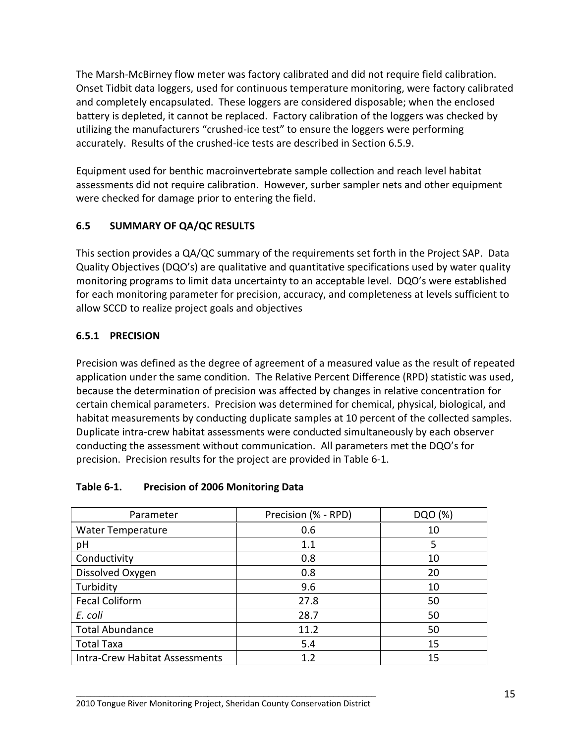The Marsh-McBirney flow meter was factory calibrated and did not require field calibration. Onset Tidbit data loggers, used for continuous temperature monitoring, were factory calibrated and completely encapsulated. These loggers are considered disposable; when the enclosed battery is depleted, it cannot be replaced. Factory calibration of the loggers was checked by utilizing the manufacturers "crushed-ice test" to ensure the loggers were performing accurately. Results of the crushed-ice tests are described in Section 6.5.9.

Equipment used for benthic macroinvertebrate sample collection and reach level habitat assessments did not require calibration. However, surber sampler nets and other equipment were checked for damage prior to entering the field.

# **6.5 SUMMARY OF QA/QC RESULTS**

This section provides a QA/QC summary of the requirements set forth in the Project SAP. Data Quality Objectives (DQO's) are qualitative and quantitative specifications used by water quality monitoring programs to limit data uncertainty to an acceptable level. DQO's were established for each monitoring parameter for precision, accuracy, and completeness at levels sufficient to allow SCCD to realize project goals and objectives

# **6.5.1 PRECISION**

Precision was defined as the degree of agreement of a measured value as the result of repeated application under the same condition. The Relative Percent Difference (RPD) statistic was used, because the determination of precision was affected by changes in relative concentration for certain chemical parameters. Precision was determined for chemical, physical, biological, and habitat measurements by conducting duplicate samples at 10 percent of the collected samples. Duplicate intra-crew habitat assessments were conducted simultaneously by each observer conducting the assessment without communication. All parameters met the DQO's for precision. Precision results for the project are provided in Table 6-1.

#### **Table 6-1. Precision of 2006 Monitoring Data**

| Parameter                             | Precision (% - RPD) | DQO (%) |
|---------------------------------------|---------------------|---------|
| <b>Water Temperature</b>              | 0.6                 | 10      |
| pH                                    | 1.1                 | 5       |
| Conductivity                          | 0.8                 | 10      |
| Dissolved Oxygen                      | 0.8                 | 20      |
| Turbidity                             | 9.6                 | 10      |
| <b>Fecal Coliform</b>                 | 27.8                | 50      |
| E. coli                               | 28.7                | 50      |
| <b>Total Abundance</b>                | 11.2                | 50      |
| <b>Total Taxa</b>                     | 5.4                 | 15      |
| <b>Intra-Crew Habitat Assessments</b> | 1.2                 | 15      |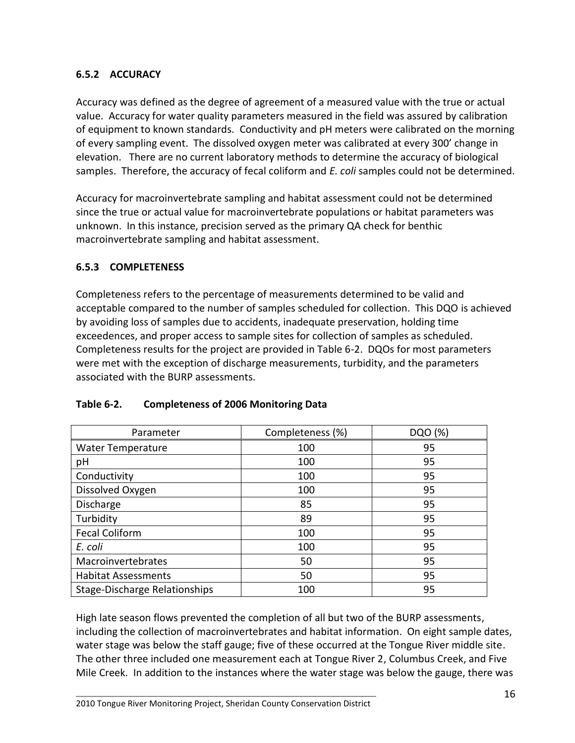# **6.5.2 ACCURACY**

Accuracy was defined as the degree of agreement of a measured value with the true or actual value. Accuracy for water quality parameters measured in the field was assured by calibration of equipment to known standards. Conductivity and pH meters were calibrated on the morning of every sampling event. The dissolved oxygen meter was calibrated at every 300' change in elevation. There are no current laboratory methods to determine the accuracy of biological samples. Therefore, the accuracy of fecal coliform and *E. coli* samples could not be determined.

Accuracy for macroinvertebrate sampling and habitat assessment could not be determined since the true or actual value for macroinvertebrate populations or habitat parameters was unknown. In this instance, precision served as the primary QA check for benthic macroinvertebrate sampling and habitat assessment.

#### **6.5.3 COMPLETENESS**

Completeness refers to the percentage of measurements determined to be valid and acceptable compared to the number of samples scheduled for collection. This DQO is achieved by avoiding loss of samples due to accidents, inadequate preservation, holding time exceedences, and proper access to sample sites for collection of samples as scheduled. Completeness results for the project are provided in Table 6-2. DQOs for most parameters were met with the exception of discharge measurements, turbidity, and the parameters associated with the BURP assessments.

| Parameter                     | Completeness (%) | DQO (%) |
|-------------------------------|------------------|---------|
| <b>Water Temperature</b>      | 100              | 95      |
| pH                            | 100              | 95      |
| Conductivity                  | 100              | 95      |
| Dissolved Oxygen              | 100              | 95      |
| Discharge                     | 85               | 95      |
| Turbidity                     | 89               | 95      |
| <b>Fecal Coliform</b>         | 100              | 95      |
| E. coli                       | 100              | 95      |
| Macroinvertebrates            | 50               | 95      |
| <b>Habitat Assessments</b>    | 50               | 95      |
| Stage-Discharge Relationships | 100              | 95      |

#### **Table 6-2. Completeness of 2006 Monitoring Data**

High late season flows prevented the completion of all but two of the BURP assessments, including the collection of macroinvertebrates and habitat information. On eight sample dates, water stage was below the staff gauge; five of these occurred at the Tongue River middle site. The other three included one measurement each at Tongue River 2, Columbus Creek, and Five Mile Creek. In addition to the instances where the water stage was below the gauge, there was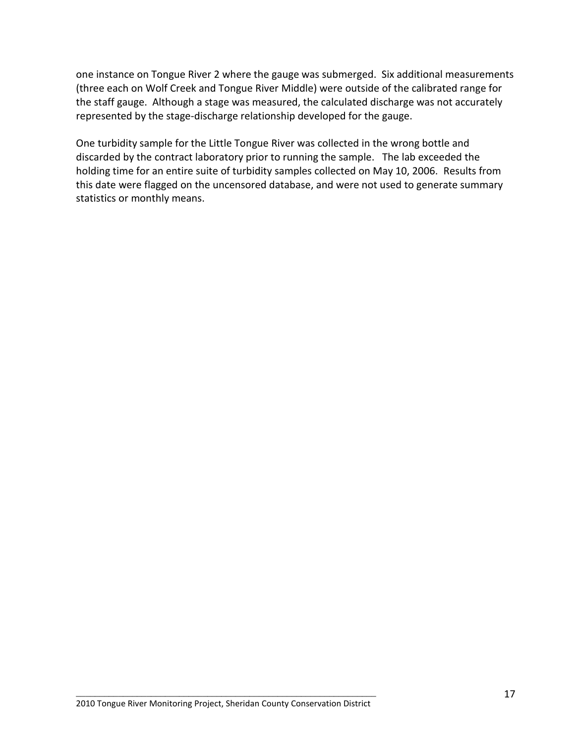one instance on Tongue River 2 where the gauge was submerged. Six additional measurements (three each on Wolf Creek and Tongue River Middle) were outside of the calibrated range for the staff gauge. Although a stage was measured, the calculated discharge was not accurately represented by the stage-discharge relationship developed for the gauge.

One turbidity sample for the Little Tongue River was collected in the wrong bottle and discarded by the contract laboratory prior to running the sample. The lab exceeded the holding time for an entire suite of turbidity samples collected on May 10, 2006. Results from this date were flagged on the uncensored database, and were not used to generate summary statistics or monthly means.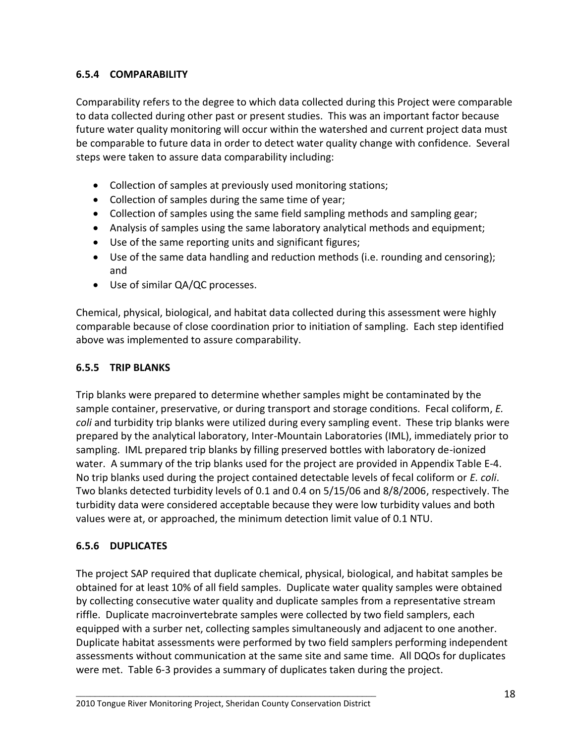# **6.5.4 COMPARABILITY**

Comparability refers to the degree to which data collected during this Project were comparable to data collected during other past or present studies. This was an important factor because future water quality monitoring will occur within the watershed and current project data must be comparable to future data in order to detect water quality change with confidence. Several steps were taken to assure data comparability including:

- Collection of samples at previously used monitoring stations;
- Collection of samples during the same time of year;
- Collection of samples using the same field sampling methods and sampling gear;
- Analysis of samples using the same laboratory analytical methods and equipment;
- Use of the same reporting units and significant figures;
- Use of the same data handling and reduction methods (i.e. rounding and censoring); and
- Use of similar QA/QC processes.

Chemical, physical, biological, and habitat data collected during this assessment were highly comparable because of close coordination prior to initiation of sampling. Each step identified above was implemented to assure comparability.

# **6.5.5 TRIP BLANKS**

Trip blanks were prepared to determine whether samples might be contaminated by the sample container, preservative, or during transport and storage conditions. Fecal coliform, *E. coli* and turbidity trip blanks were utilized during every sampling event. These trip blanks were prepared by the analytical laboratory, Inter-Mountain Laboratories (IML), immediately prior to sampling. IML prepared trip blanks by filling preserved bottles with laboratory de-ionized water. A summary of the trip blanks used for the project are provided in Appendix Table E-4. No trip blanks used during the project contained detectable levels of fecal coliform or *E. coli*. Two blanks detected turbidity levels of 0.1 and 0.4 on 5/15/06 and 8/8/2006, respectively. The turbidity data were considered acceptable because they were low turbidity values and both values were at, or approached, the minimum detection limit value of 0.1 NTU.

# **6.5.6 DUPLICATES**

The project SAP required that duplicate chemical, physical, biological, and habitat samples be obtained for at least 10% of all field samples. Duplicate water quality samples were obtained by collecting consecutive water quality and duplicate samples from a representative stream riffle. Duplicate macroinvertebrate samples were collected by two field samplers, each equipped with a surber net, collecting samples simultaneously and adjacent to one another. Duplicate habitat assessments were performed by two field samplers performing independent assessments without communication at the same site and same time. All DQOs for duplicates were met. Table 6-3 provides a summary of duplicates taken during the project.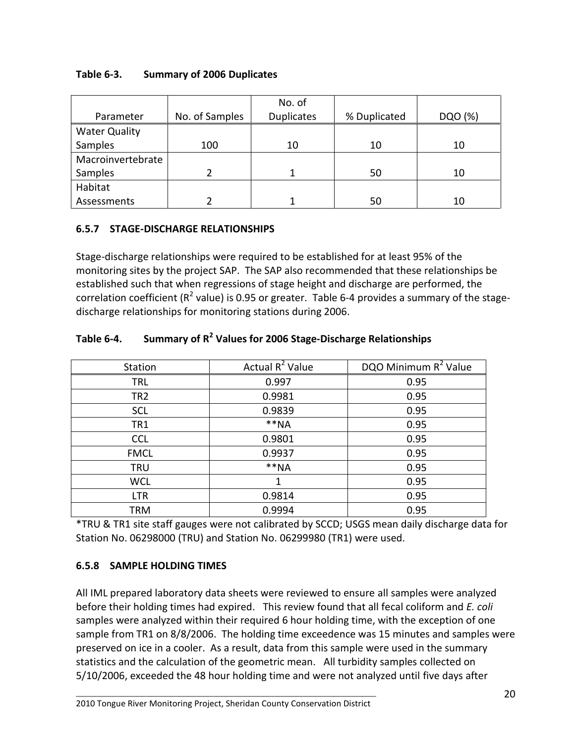|                      |                | No. of            |              |         |
|----------------------|----------------|-------------------|--------------|---------|
| Parameter            | No. of Samples | <b>Duplicates</b> | % Duplicated | DQO (%) |
| <b>Water Quality</b> |                |                   |              |         |
| Samples              | 100            | 10<br>10          |              | 10      |
| Macroinvertebrate    |                |                   |              |         |
| Samples              |                |                   | 50           | 10      |
| Habitat              |                |                   |              |         |
| Assessments          |                |                   | 50           | 10      |

# **6.5.7 STAGE-DISCHARGE RELATIONSHIPS**

Stage-discharge relationships were required to be established for at least 95% of the monitoring sites by the project SAP. The SAP also recommended that these relationships be established such that when regressions of stage height and discharge are performed, the correlation coefficient (R<sup>2</sup> value) is 0.95 or greater. Table 6-4 provides a summary of the stagedischarge relationships for monitoring stations during 2006.

| Station         | Actual $R^2$ Value | DQO Minimum R <sup>2</sup> Value |
|-----------------|--------------------|----------------------------------|
| <b>TRL</b>      | 0.997              | 0.95                             |
| TR <sub>2</sub> | 0.9981             | 0.95                             |
| <b>SCL</b>      | 0.9839             | 0.95                             |
| TR <sub>1</sub> | $**NA$             | 0.95                             |
| <b>CCL</b>      | 0.9801             | 0.95                             |
| <b>FMCL</b>     | 0.9937             | 0.95                             |
| <b>TRU</b>      | $**NA$             | 0.95                             |
| <b>WCL</b>      |                    | 0.95                             |
| <b>LTR</b>      | 0.9814             | 0.95                             |
| TRM             | 0.9994             | 0.95                             |

# **Table 6-4. Summary of R<sup>2</sup> Values for 2006 Stage-Discharge Relationships**

\*TRU & TR1 site staff gauges were not calibrated by SCCD; USGS mean daily discharge data for Station No. 06298000 (TRU) and Station No. 06299980 (TR1) were used.

# **6.5.8 SAMPLE HOLDING TIMES**

All IML prepared laboratory data sheets were reviewed to ensure all samples were analyzed before their holding times had expired. This review found that all fecal coliform and *E. coli* samples were analyzed within their required 6 hour holding time, with the exception of one sample from TR1 on 8/8/2006. The holding time exceedence was 15 minutes and samples were preserved on ice in a cooler. As a result, data from this sample were used in the summary statistics and the calculation of the geometric mean. All turbidity samples collected on 5/10/2006, exceeded the 48 hour holding time and were not analyzed until five days after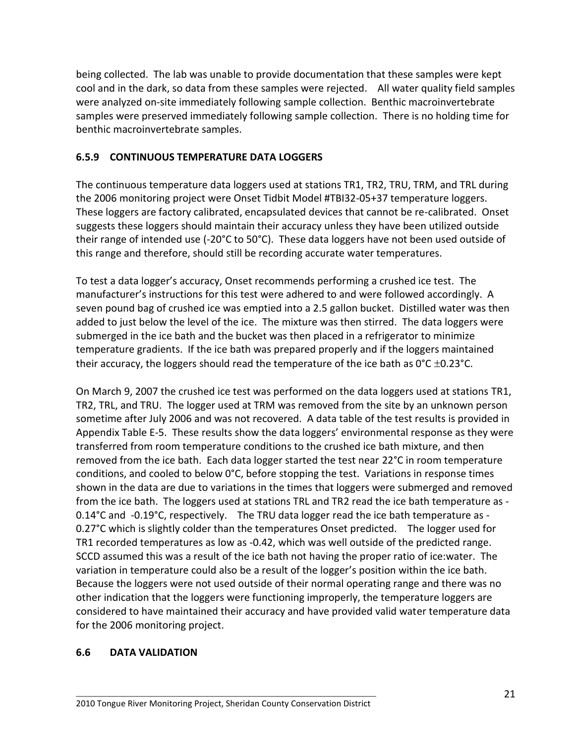being collected. The lab was unable to provide documentation that these samples were kept cool and in the dark, so data from these samples were rejected. All water quality field samples were analyzed on-site immediately following sample collection. Benthic macroinvertebrate samples were preserved immediately following sample collection. There is no holding time for benthic macroinvertebrate samples.

# **6.5.9 CONTINUOUS TEMPERATURE DATA LOGGERS**

The continuous temperature data loggers used at stations TR1, TR2, TRU, TRM, and TRL during the 2006 monitoring project were Onset Tidbit Model #TBI32-05+37 temperature loggers. These loggers are factory calibrated, encapsulated devices that cannot be re-calibrated. Onset suggests these loggers should maintain their accuracy unless they have been utilized outside their range of intended use (-20°C to 50°C). These data loggers have not been used outside of this range and therefore, should still be recording accurate water temperatures.

To test a data logger's accuracy, Onset recommends performing a crushed ice test. The manufacturer's instructions for this test were adhered to and were followed accordingly. A seven pound bag of crushed ice was emptied into a 2.5 gallon bucket. Distilled water was then added to just below the level of the ice. The mixture was then stirred. The data loggers were submerged in the ice bath and the bucket was then placed in a refrigerator to minimize temperature gradients. If the ice bath was prepared properly and if the loggers maintained their accuracy, the loggers should read the temperature of the ice bath as  $0^{\circ}C \pm 0.23^{\circ}C$ .

On March 9, 2007 the crushed ice test was performed on the data loggers used at stations TR1, TR2, TRL, and TRU. The logger used at TRM was removed from the site by an unknown person sometime after July 2006 and was not recovered. A data table of the test results is provided in Appendix Table E-5. These results show the data loggers' environmental response as they were transferred from room temperature conditions to the crushed ice bath mixture, and then removed from the ice bath. Each data logger started the test near 22°C in room temperature conditions, and cooled to below 0°C, before stopping the test. Variations in response times shown in the data are due to variations in the times that loggers were submerged and removed from the ice bath. The loggers used at stations TRL and TR2 read the ice bath temperature as - 0.14°C and -0.19°C, respectively. The TRU data logger read the ice bath temperature as - 0.27°C which is slightly colder than the temperatures Onset predicted. The logger used for TR1 recorded temperatures as low as -0.42, which was well outside of the predicted range. SCCD assumed this was a result of the ice bath not having the proper ratio of ice:water. The variation in temperature could also be a result of the logger's position within the ice bath. Because the loggers were not used outside of their normal operating range and there was no other indication that the loggers were functioning improperly, the temperature loggers are considered to have maintained their accuracy and have provided valid water temperature data for the 2006 monitoring project.

#### **6.6 DATA VALIDATION**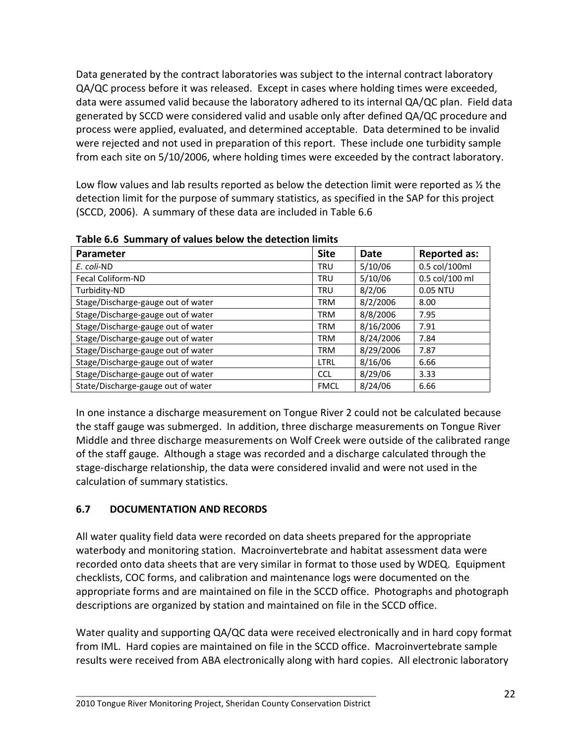Data generated by the contract laboratories was subject to the internal contract laboratory QA/QC process before it was released. Except in cases where holding times were exceeded, data were assumed valid because the laboratory adhered to its internal QA/QC plan. Field data generated by SCCD were considered valid and usable only after defined QA/QC procedure and process were applied, evaluated, and determined acceptable. Data determined to be invalid were rejected and not used in preparation of this report. These include one turbidity sample from each site on 5/10/2006, where holding times were exceeded by the contract laboratory.

Low flow values and lab results reported as below the detection limit were reported as  $\frac{1}{2}$  the detection limit for the purpose of summary statistics, as specified in the SAP for this project (SCCD, 2006). A summary of these data are included in Table 6.6

| Parameter                          | <b>Site</b> | Date      | <b>Reported as:</b> |
|------------------------------------|-------------|-----------|---------------------|
| E. coli-ND                         | <b>TRU</b>  | 5/10/06   | 0.5 col/100ml       |
| <b>Fecal Coliform-ND</b>           | <b>TRU</b>  | 5/10/06   | 0.5 col/100 ml      |
| Turbidity-ND                       | <b>TRU</b>  | 8/2/06    | 0.05 NTU            |
| Stage/Discharge-gauge out of water | TRM         | 8/2/2006  | 8.00                |
| Stage/Discharge-gauge out of water | TRM         | 8/8/2006  | 7.95                |
| Stage/Discharge-gauge out of water | TRM         | 8/16/2006 | 7.91                |
| Stage/Discharge-gauge out of water | TRM         | 8/24/2006 | 7.84                |
| Stage/Discharge-gauge out of water | TRM         | 8/29/2006 | 7.87                |
| Stage/Discharge-gauge out of water | <b>LTRL</b> | 8/16/06   | 6.66                |
| Stage/Discharge-gauge out of water | <b>CCL</b>  | 8/29/06   | 3.33                |
| State/Discharge-gauge out of water | <b>FMCL</b> | 8/24/06   | 6.66                |

**Table 6.6 Summary of values below the detection limits** 

In one instance a discharge measurement on Tongue River 2 could not be calculated because the staff gauge was submerged. In addition, three discharge measurements on Tongue River Middle and three discharge measurements on Wolf Creek were outside of the calibrated range of the staff gauge. Although a stage was recorded and a discharge calculated through the stage-discharge relationship, the data were considered invalid and were not used in the calculation of summary statistics.

# **6.7 DOCUMENTATION AND RECORDS**

All water quality field data were recorded on data sheets prepared for the appropriate waterbody and monitoring station. Macroinvertebrate and habitat assessment data were recorded onto data sheets that are very similar in format to those used by WDEQ. Equipment checklists, COC forms, and calibration and maintenance logs were documented on the appropriate forms and are maintained on file in the SCCD office. Photographs and photograph descriptions are organized by station and maintained on file in the SCCD office.

Water quality and supporting QA/QC data were received electronically and in hard copy format from IML. Hard copies are maintained on file in the SCCD office. Macroinvertebrate sample results were received from ABA electronically along with hard copies. All electronic laboratory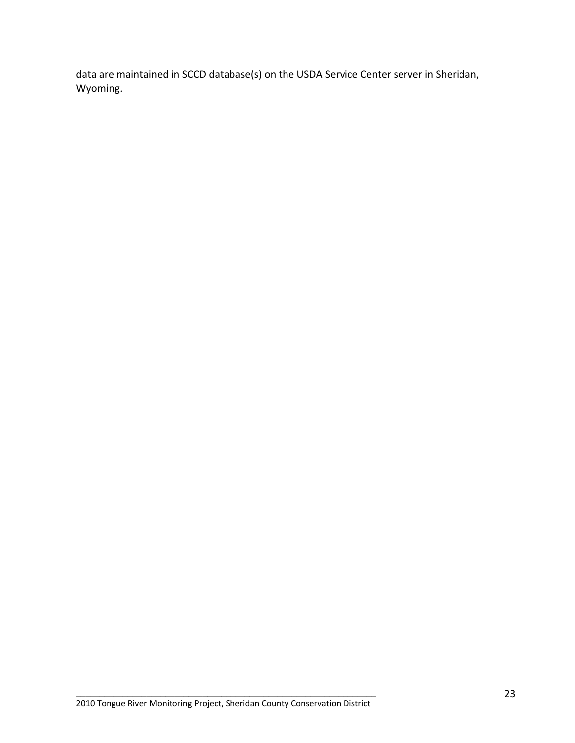data are maintained in SCCD database(s) on the USDA Service Center server in Sheridan, Wyoming.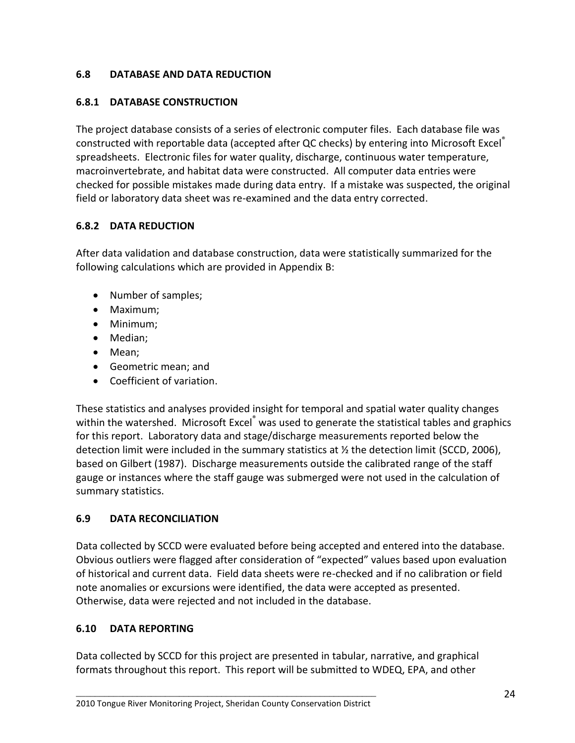# **6.8 DATABASE AND DATA REDUCTION**

#### **6.8.1 DATABASE CONSTRUCTION**

The project database consists of a series of electronic computer files. Each database file was constructed with reportable data (accepted after QC checks) by entering into Microsoft Excel® spreadsheets. Electronic files for water quality, discharge, continuous water temperature, macroinvertebrate, and habitat data were constructed. All computer data entries were checked for possible mistakes made during data entry. If a mistake was suspected, the original field or laboratory data sheet was re-examined and the data entry corrected.

### **6.8.2 DATA REDUCTION**

After data validation and database construction, data were statistically summarized for the following calculations which are provided in Appendix B:

- Number of samples;
- Maximum;
- Minimum;
- Median;
- Mean;
- Geometric mean; and
- Coefficient of variation.

These statistics and analyses provided insight for temporal and spatial water quality changes within the watershed. Microsoft Excel<sup>®</sup> was used to generate the statistical tables and graphics for this report. Laboratory data and stage/discharge measurements reported below the detection limit were included in the summary statistics at  $\frac{1}{2}$  the detection limit (SCCD, 2006), based on Gilbert (1987). Discharge measurements outside the calibrated range of the staff gauge or instances where the staff gauge was submerged were not used in the calculation of summary statistics.

# **6.9 DATA RECONCILIATION**

Data collected by SCCD were evaluated before being accepted and entered into the database. Obvious outliers were flagged after consideration of "expected" values based upon evaluation of historical and current data. Field data sheets were re-checked and if no calibration or field note anomalies or excursions were identified, the data were accepted as presented. Otherwise, data were rejected and not included in the database.

#### **6.10 DATA REPORTING**

Data collected by SCCD for this project are presented in tabular, narrative, and graphical formats throughout this report. This report will be submitted to WDEQ, EPA, and other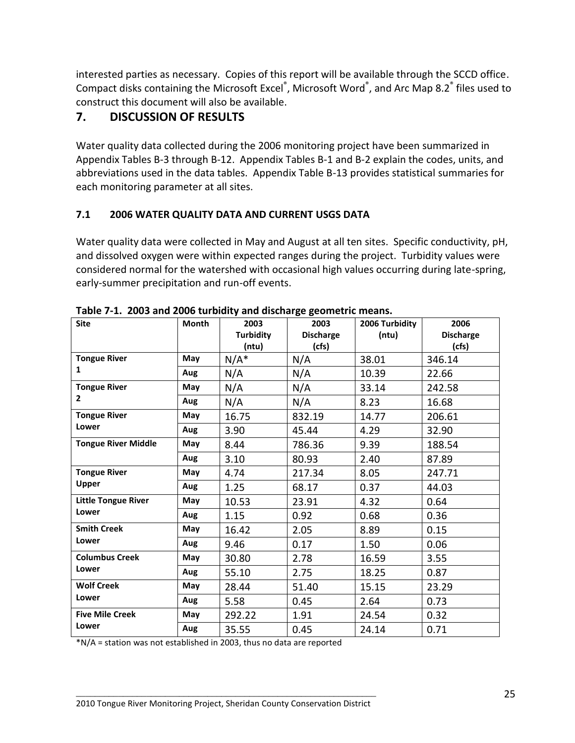interested parties as necessary. Copies of this report will be available through the SCCD office. Compact disks containing the Microsoft Excel<sup>®</sup>, Microsoft Word<sup>®</sup>, and Arc Map 8.2<sup>®</sup> files used to construct this document will also be available.

# **7. DISCUSSION OF RESULTS**

Water quality data collected during the 2006 monitoring project have been summarized in Appendix Tables B-3 through B-12. Appendix Tables B-1 and B-2 explain the codes, units, and abbreviations used in the data tables. Appendix Table B-13 provides statistical summaries for each monitoring parameter at all sites.

# **7.1 2006 WATER QUALITY DATA AND CURRENT USGS DATA**

Water quality data were collected in May and August at all ten sites. Specific conductivity, pH, and dissolved oxygen were within expected ranges during the project. Turbidity values were considered normal for the watershed with occasional high values occurring during late-spring, early-summer precipitation and run-off events.

| 2000 and 2000 tarsiary and alsonarge geometric in<br><b>Site</b> | Month | 2003               | 2003                      | 2006 Turbidity | 2006                      |
|------------------------------------------------------------------|-------|--------------------|---------------------------|----------------|---------------------------|
|                                                                  |       | Turbidity<br>(ntu) | <b>Discharge</b><br>(cfs) | (ntu)          | <b>Discharge</b><br>(cfs) |
| <b>Tongue River</b>                                              | May   | $N/A^*$            | N/A                       | 38.01          | 346.14                    |
| 1                                                                | Aug   | N/A                | N/A                       | 10.39          | 22.66                     |
| <b>Tongue River</b>                                              | May   | N/A                | N/A                       | 33.14          | 242.58                    |
| $\mathbf{2}$                                                     | Aug   | N/A                | N/A                       | 8.23           | 16.68                     |
| <b>Tongue River</b>                                              | May   | 16.75              | 832.19                    | 14.77          | 206.61                    |
| Lower                                                            | Aug   | 3.90               | 45.44                     | 4.29           | 32.90                     |
| <b>Tongue River Middle</b>                                       | May   | 8.44               | 786.36                    | 9.39           | 188.54                    |
|                                                                  | Aug   | 3.10               | 80.93                     | 2.40           | 87.89                     |
| <b>Tongue River</b>                                              | May   | 4.74               | 217.34                    | 8.05           | 247.71                    |
| Upper                                                            | Aug   | 1.25               | 68.17                     | 0.37           | 44.03                     |
| <b>Little Tongue River</b>                                       | May   | 10.53              | 23.91                     | 4.32           | 0.64                      |
| Lower                                                            | Aug   | 1.15               | 0.92                      | 0.68           | 0.36                      |
| <b>Smith Creek</b>                                               | May   | 16.42              | 2.05                      | 8.89           | 0.15                      |
| Lower                                                            | Aug   | 9.46               | 0.17                      | 1.50           | 0.06                      |
| <b>Columbus Creek</b>                                            | May   | 30.80              | 2.78                      | 16.59          | 3.55                      |
| Lower                                                            | Aug   | 55.10              | 2.75                      | 18.25          | 0.87                      |
| <b>Wolf Creek</b>                                                | May   | 28.44              | 51.40                     | 15.15          | 23.29                     |
| Lower                                                            | Aug   | 5.58               | 0.45                      | 2.64           | 0.73                      |
| <b>Five Mile Creek</b>                                           | May   | 292.22             | 1.91                      | 24.54          | 0.32                      |
| Lower                                                            | Aug   | 35.55              | 0.45                      | 24.14          | 0.71                      |

**Table 7-1. 2003 and 2006 turbidity and discharge geometric means.**

\*N/A = station was not established in 2003, thus no data are reported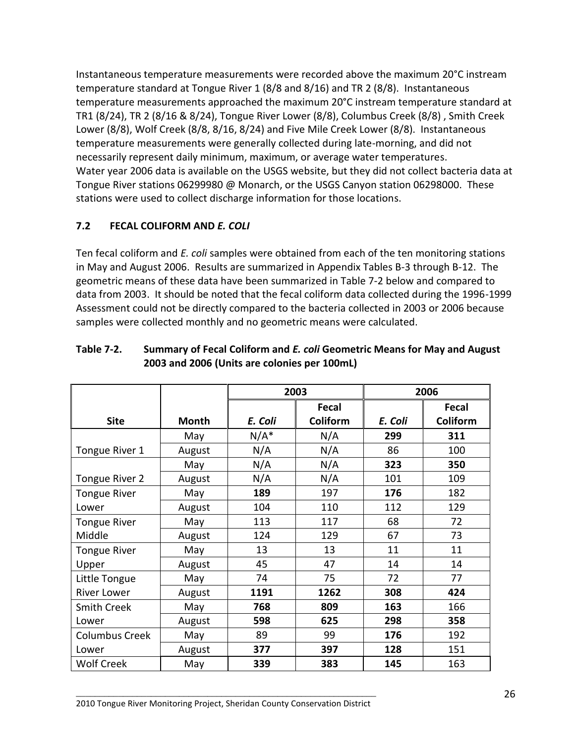Instantaneous temperature measurements were recorded above the maximum 20°C instream temperature standard at Tongue River 1 (8/8 and 8/16) and TR 2 (8/8). Instantaneous temperature measurements approached the maximum 20°C instream temperature standard at TR1 (8/24), TR 2 (8/16 & 8/24), Tongue River Lower (8/8), Columbus Creek (8/8) , Smith Creek Lower (8/8), Wolf Creek (8/8, 8/16, 8/24) and Five Mile Creek Lower (8/8). Instantaneous temperature measurements were generally collected during late-morning, and did not necessarily represent daily minimum, maximum, or average water temperatures. Water year 2006 data is available on the USGS website, but they did not collect bacteria data at Tongue River stations 06299980 @ Monarch, or the USGS Canyon station 06298000. These stations were used to collect discharge information for those locations.

### **7.2 FECAL COLIFORM AND** *E. COLI*

Ten fecal coliform and *E. coli* samples were obtained from each of the ten monitoring stations in May and August 2006. Results are summarized in Appendix Tables B-3 through B-12. The geometric means of these data have been summarized in Table 7-2 below and compared to data from 2003. It should be noted that the fecal coliform data collected during the 1996-1999 Assessment could not be directly compared to the bacteria collected in 2003 or 2006 because samples were collected monthly and no geometric means were calculated.

|                       |        | 2003    |                 | 2006    |          |
|-----------------------|--------|---------|-----------------|---------|----------|
|                       |        |         | Fecal           |         | Fecal    |
| <b>Site</b>           | Month  | E. Coli | <b>Coliform</b> | E. Coli | Coliform |
|                       | May    | $N/A^*$ | N/A             | 299     | 311      |
| Tongue River 1        | August | N/A     | N/A             | 86      | 100      |
|                       | May    | N/A     | N/A             | 323     | 350      |
| Tongue River 2        | August | N/A     | N/A             | 101     | 109      |
| <b>Tongue River</b>   | May    | 189     | 197             | 176     | 182      |
| Lower                 | August | 104     | 110             | 112     | 129      |
| <b>Tongue River</b>   | May    | 113     | 117             | 68      | 72       |
| Middle                | August | 124     | 129             | 67      | 73       |
| <b>Tongue River</b>   | May    | 13      | 13              | 11      | 11       |
| Upper                 | August | 45      | 47              | 14      | 14       |
| Little Tongue         | May    | 74      | 75              | 72      | 77       |
| <b>River Lower</b>    | August | 1191    | 1262            | 308     | 424      |
| <b>Smith Creek</b>    | May    | 768     | 809             | 163     | 166      |
| Lower                 | August | 598     | 625             | 298     | 358      |
| <b>Columbus Creek</b> | May    | 89      | 99              | 176     | 192      |
| Lower                 | August | 377     | 397             | 128     | 151      |
| <b>Wolf Creek</b>     | May    | 339     | 383             | 145     | 163      |

#### **Table 7-2. Summary of Fecal Coliform and** *E. coli* **Geometric Means for May and August 2003 and 2006 (Units are colonies per 100mL)**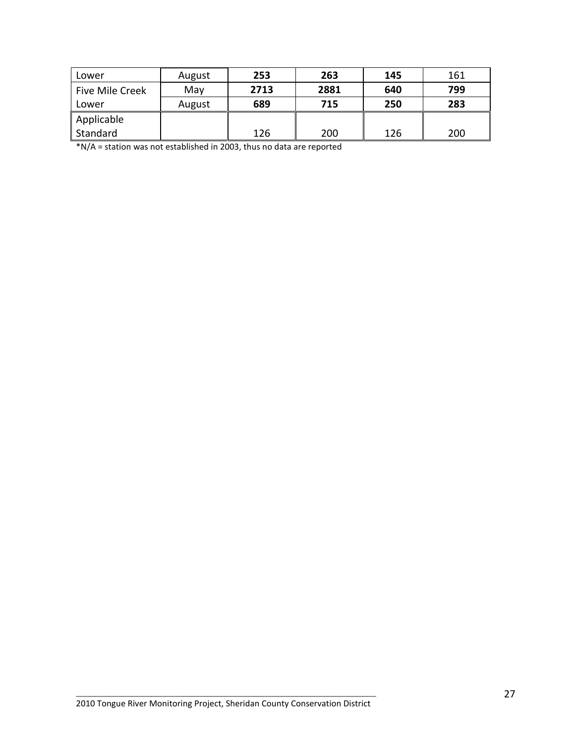| Lower           | August | 253  | 263  | 145 | 161 |
|-----------------|--------|------|------|-----|-----|
| Five Mile Creek | May    | 2713 | 2881 | 640 | 799 |
| Lower           | August | 689  | 715  | 250 | 283 |
| Applicable      |        |      |      |     |     |
| Standard        |        | 126  | 200  | 126 | 200 |

\*N/A = station was not established in 2003, thus no data are reported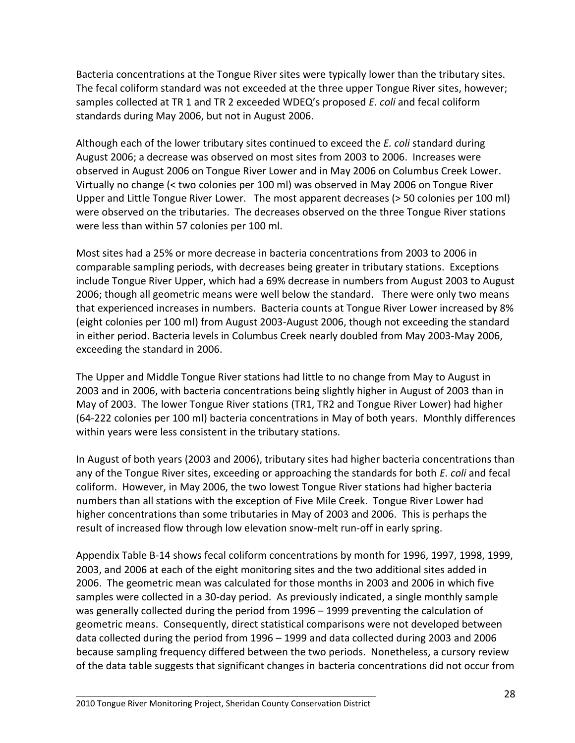Bacteria concentrations at the Tongue River sites were typically lower than the tributary sites. The fecal coliform standard was not exceeded at the three upper Tongue River sites, however; samples collected at TR 1 and TR 2 exceeded WDEQ's proposed *E. coli* and fecal coliform standards during May 2006, but not in August 2006.

Although each of the lower tributary sites continued to exceed the *E. coli* standard during August 2006; a decrease was observed on most sites from 2003 to 2006. Increases were observed in August 2006 on Tongue River Lower and in May 2006 on Columbus Creek Lower. Virtually no change (< two colonies per 100 ml) was observed in May 2006 on Tongue River Upper and Little Tongue River Lower. The most apparent decreases (> 50 colonies per 100 ml) were observed on the tributaries. The decreases observed on the three Tongue River stations were less than within 57 colonies per 100 ml.

Most sites had a 25% or more decrease in bacteria concentrations from 2003 to 2006 in comparable sampling periods, with decreases being greater in tributary stations. Exceptions include Tongue River Upper, which had a 69% decrease in numbers from August 2003 to August 2006; though all geometric means were well below the standard. There were only two means that experienced increases in numbers. Bacteria counts at Tongue River Lower increased by 8% (eight colonies per 100 ml) from August 2003-August 2006, though not exceeding the standard in either period. Bacteria levels in Columbus Creek nearly doubled from May 2003-May 2006, exceeding the standard in 2006.

The Upper and Middle Tongue River stations had little to no change from May to August in 2003 and in 2006, with bacteria concentrations being slightly higher in August of 2003 than in May of 2003. The lower Tongue River stations (TR1, TR2 and Tongue River Lower) had higher (64-222 colonies per 100 ml) bacteria concentrations in May of both years. Monthly differences within years were less consistent in the tributary stations.

In August of both years (2003 and 2006), tributary sites had higher bacteria concentrations than any of the Tongue River sites, exceeding or approaching the standards for both *E. coli* and fecal coliform. However, in May 2006, the two lowest Tongue River stations had higher bacteria numbers than all stations with the exception of Five Mile Creek. Tongue River Lower had higher concentrations than some tributaries in May of 2003 and 2006. This is perhaps the result of increased flow through low elevation snow-melt run-off in early spring.

Appendix Table B-14 shows fecal coliform concentrations by month for 1996, 1997, 1998, 1999, 2003, and 2006 at each of the eight monitoring sites and the two additional sites added in 2006. The geometric mean was calculated for those months in 2003 and 2006 in which five samples were collected in a 30-day period. As previously indicated, a single monthly sample was generally collected during the period from 1996 – 1999 preventing the calculation of geometric means. Consequently, direct statistical comparisons were not developed between data collected during the period from 1996 – 1999 and data collected during 2003 and 2006 because sampling frequency differed between the two periods. Nonetheless, a cursory review of the data table suggests that significant changes in bacteria concentrations did not occur from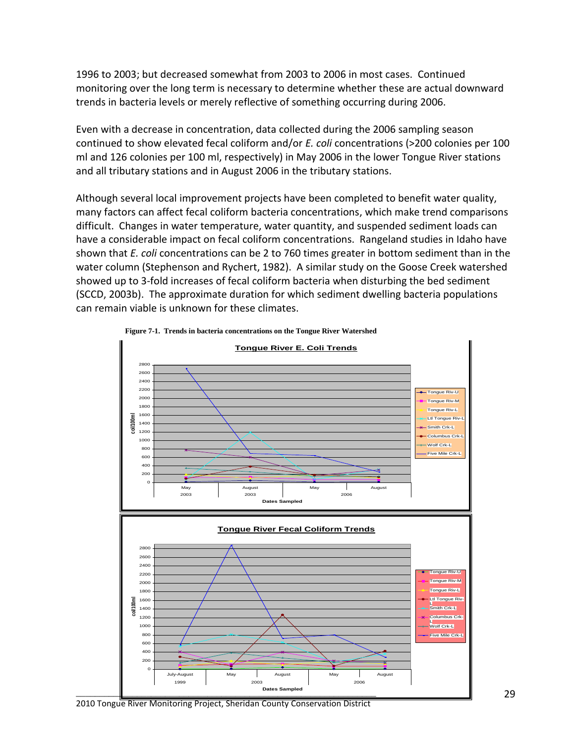1996 to 2003; but decreased somewhat from 2003 to 2006 in most cases. Continued monitoring over the long term is necessary to determine whether these are actual downward trends in bacteria levels or merely reflective of something occurring during 2006.

Even with a decrease in concentration, data collected during the 2006 sampling season continued to show elevated fecal coliform and/or *E. coli* concentrations (>200 colonies per 100 ml and 126 colonies per 100 ml, respectively) in May 2006 in the lower Tongue River stations and all tributary stations and in August 2006 in the tributary stations.

Although several local improvement projects have been completed to benefit water quality, many factors can affect fecal coliform bacteria concentrations, which make trend comparisons difficult. Changes in water temperature, water quantity, and suspended sediment loads can have a considerable impact on fecal coliform concentrations. Rangeland studies in Idaho have shown that *E. coli* concentrations can be 2 to 760 times greater in bottom sediment than in the water column (Stephenson and Rychert, 1982). A similar study on the Goose Creek watershed showed up to 3-fold increases of fecal coliform bacteria when disturbing the bed sediment (SCCD, 2003b). The approximate duration for which sediment dwelling bacteria populations can remain viable is unknown for these climates.





<sup>2010</sup> Tongue River Monitoring Project, Sheridan County Conservation District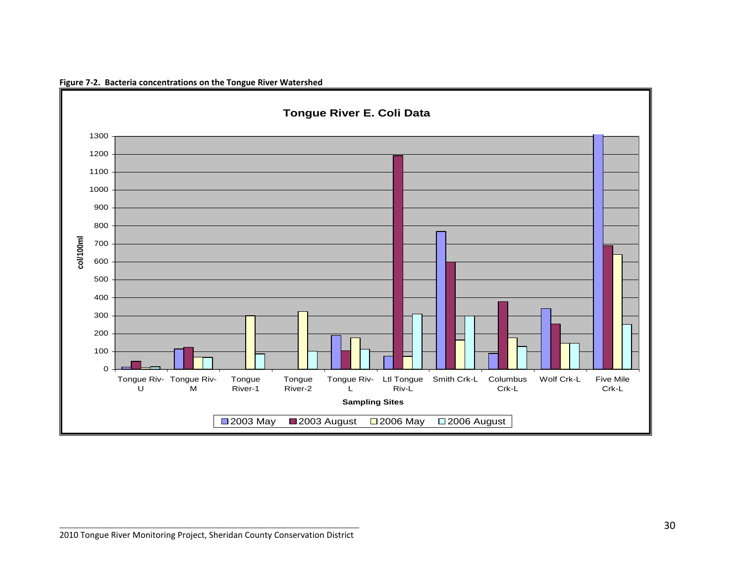

**Figure 7-2. Bacteria concentrations on the Tongue River Watershed**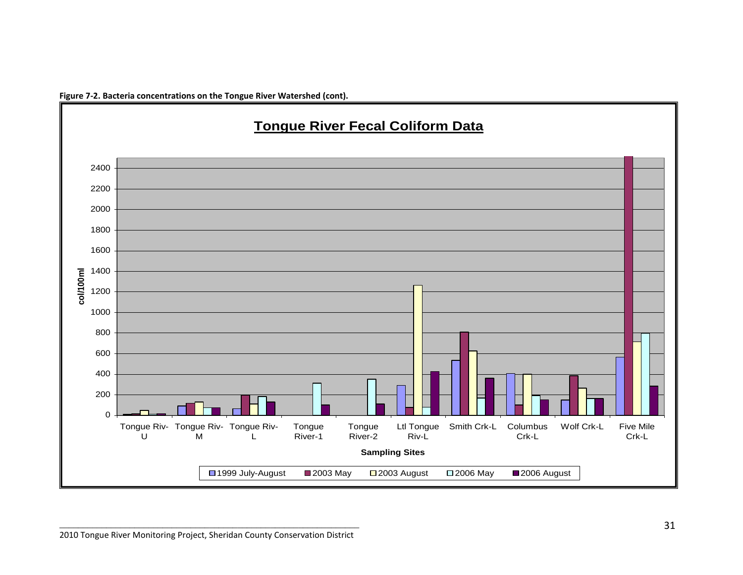

![](_page_33_Figure_1.jpeg)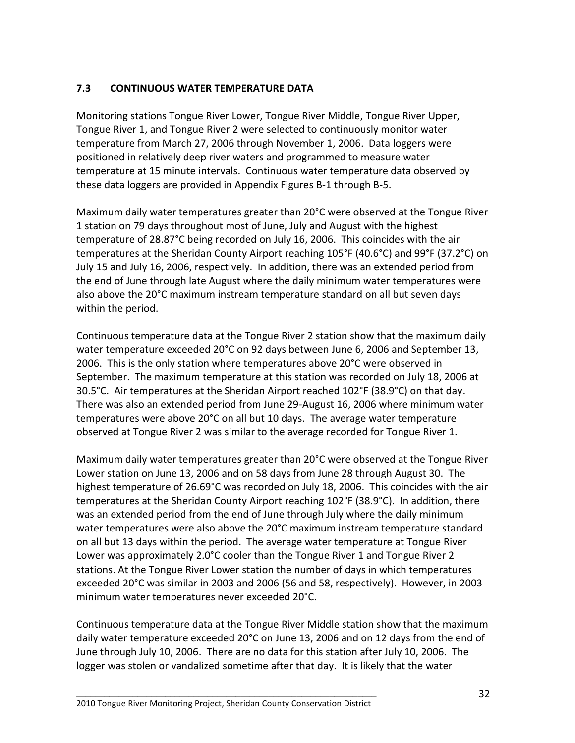#### **7.3 CONTINUOUS WATER TEMPERATURE DATA**

Monitoring stations Tongue River Lower, Tongue River Middle, Tongue River Upper, Tongue River 1, and Tongue River 2 were selected to continuously monitor water temperature from March 27, 2006 through November 1, 2006. Data loggers were positioned in relatively deep river waters and programmed to measure water temperature at 15 minute intervals. Continuous water temperature data observed by these data loggers are provided in Appendix Figures B-1 through B-5.

Maximum daily water temperatures greater than 20°C were observed at the Tongue River 1 station on 79 days throughout most of June, July and August with the highest temperature of 28.87°C being recorded on July 16, 2006. This coincides with the air temperatures at the Sheridan County Airport reaching 105°F (40.6°C) and 99°F (37.2°C) on July 15 and July 16, 2006, respectively. In addition, there was an extended period from the end of June through late August where the daily minimum water temperatures were also above the 20°C maximum instream temperature standard on all but seven days within the period.

Continuous temperature data at the Tongue River 2 station show that the maximum daily water temperature exceeded 20°C on 92 days between June 6, 2006 and September 13, 2006. This is the only station where temperatures above 20°C were observed in September. The maximum temperature at this station was recorded on July 18, 2006 at 30.5°C. Air temperatures at the Sheridan Airport reached 102°F (38.9°C) on that day. There was also an extended period from June 29-August 16, 2006 where minimum water temperatures were above 20°C on all but 10 days. The average water temperature observed at Tongue River 2 was similar to the average recorded for Tongue River 1.

Maximum daily water temperatures greater than 20°C were observed at the Tongue River Lower station on June 13, 2006 and on 58 days from June 28 through August 30. The highest temperature of 26.69°C was recorded on July 18, 2006. This coincides with the air temperatures at the Sheridan County Airport reaching 102°F (38.9°C). In addition, there was an extended period from the end of June through July where the daily minimum water temperatures were also above the 20°C maximum instream temperature standard on all but 13 days within the period. The average water temperature at Tongue River Lower was approximately 2.0°C cooler than the Tongue River 1 and Tongue River 2 stations. At the Tongue River Lower station the number of days in which temperatures exceeded 20°C was similar in 2003 and 2006 (56 and 58, respectively). However, in 2003 minimum water temperatures never exceeded 20°C.

Continuous temperature data at the Tongue River Middle station show that the maximum daily water temperature exceeded 20°C on June 13, 2006 and on 12 days from the end of June through July 10, 2006. There are no data for this station after July 10, 2006. The logger was stolen or vandalized sometime after that day. It is likely that the water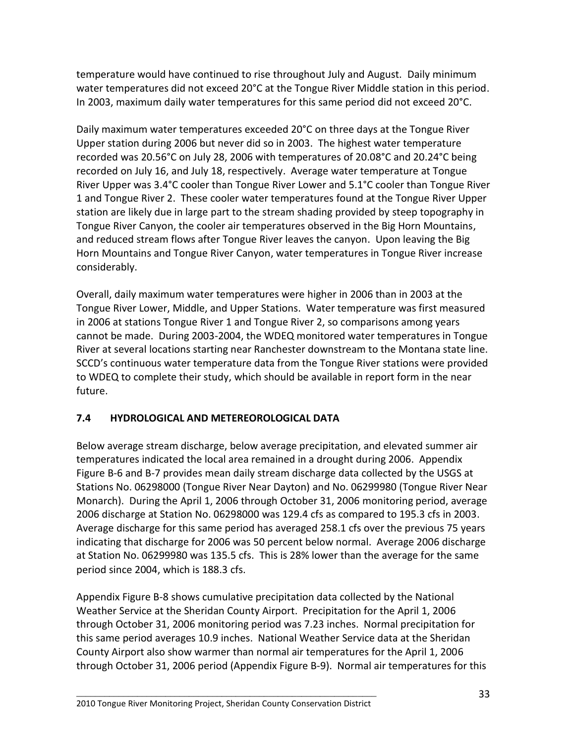temperature would have continued to rise throughout July and August. Daily minimum water temperatures did not exceed 20°C at the Tongue River Middle station in this period. In 2003, maximum daily water temperatures for this same period did not exceed 20°C.

Daily maximum water temperatures exceeded 20°C on three days at the Tongue River Upper station during 2006 but never did so in 2003. The highest water temperature recorded was 20.56°C on July 28, 2006 with temperatures of 20.08°C and 20.24°C being recorded on July 16, and July 18, respectively. Average water temperature at Tongue River Upper was 3.4°C cooler than Tongue River Lower and 5.1°C cooler than Tongue River 1 and Tongue River 2. These cooler water temperatures found at the Tongue River Upper station are likely due in large part to the stream shading provided by steep topography in Tongue River Canyon, the cooler air temperatures observed in the Big Horn Mountains, and reduced stream flows after Tongue River leaves the canyon. Upon leaving the Big Horn Mountains and Tongue River Canyon, water temperatures in Tongue River increase considerably.

Overall, daily maximum water temperatures were higher in 2006 than in 2003 at the Tongue River Lower, Middle, and Upper Stations. Water temperature was first measured in 2006 at stations Tongue River 1 and Tongue River 2, so comparisons among years cannot be made. During 2003-2004, the WDEQ monitored water temperatures in Tongue River at several locations starting near Ranchester downstream to the Montana state line. SCCD's continuous water temperature data from the Tongue River stations were provided to WDEQ to complete their study, which should be available in report form in the near future.

# **7.4 HYDROLOGICAL AND METEREOROLOGICAL DATA**

Below average stream discharge, below average precipitation, and elevated summer air temperatures indicated the local area remained in a drought during 2006. Appendix Figure B-6 and B-7 provides mean daily stream discharge data collected by the USGS at Stations No. 06298000 (Tongue River Near Dayton) and No. 06299980 (Tongue River Near Monarch). During the April 1, 2006 through October 31, 2006 monitoring period, average 2006 discharge at Station No. 06298000 was 129.4 cfs as compared to 195.3 cfs in 2003. Average discharge for this same period has averaged 258.1 cfs over the previous 75 years indicating that discharge for 2006 was 50 percent below normal. Average 2006 discharge at Station No. 06299980 was 135.5 cfs. This is 28% lower than the average for the same period since 2004, which is 188.3 cfs.

Appendix Figure B-8 shows cumulative precipitation data collected by the National Weather Service at the Sheridan County Airport. Precipitation for the April 1, 2006 through October 31, 2006 monitoring period was 7.23 inches. Normal precipitation for this same period averages 10.9 inches. National Weather Service data at the Sheridan County Airport also show warmer than normal air temperatures for the April 1, 2006 through October 31, 2006 period (Appendix Figure B-9). Normal air temperatures for this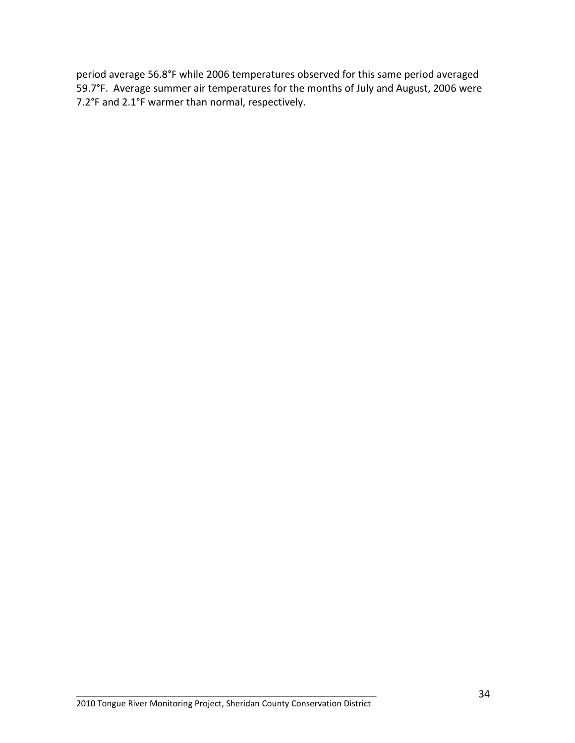period average 56.8°F while 2006 temperatures observed for this same period averaged 59.7°F. Average summer air temperatures for the months of July and August, 2006 were 7.2°F and 2.1°F warmer than normal, respectively.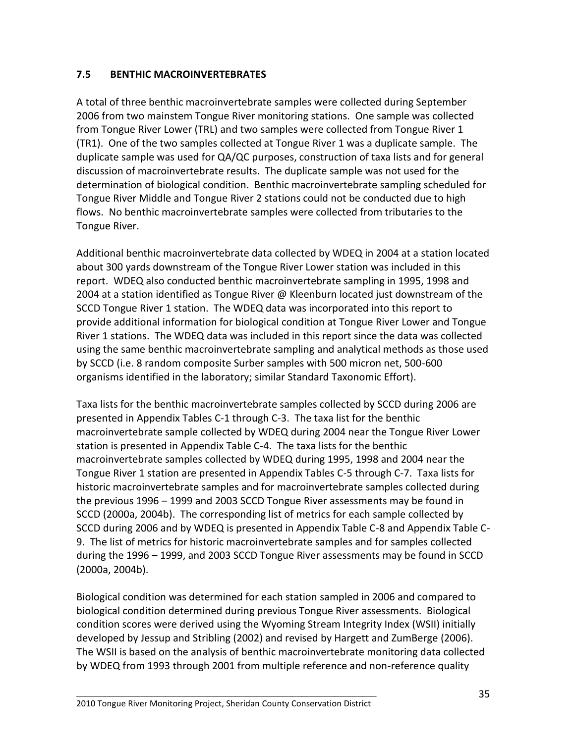#### **7.5 BENTHIC MACROINVERTEBRATES**

A total of three benthic macroinvertebrate samples were collected during September 2006 from two mainstem Tongue River monitoring stations. One sample was collected from Tongue River Lower (TRL) and two samples were collected from Tongue River 1 (TR1). One of the two samples collected at Tongue River 1 was a duplicate sample. The duplicate sample was used for QA/QC purposes, construction of taxa lists and for general discussion of macroinvertebrate results. The duplicate sample was not used for the determination of biological condition. Benthic macroinvertebrate sampling scheduled for Tongue River Middle and Tongue River 2 stations could not be conducted due to high flows. No benthic macroinvertebrate samples were collected from tributaries to the Tongue River.

Additional benthic macroinvertebrate data collected by WDEQ in 2004 at a station located about 300 yards downstream of the Tongue River Lower station was included in this report. WDEQ also conducted benthic macroinvertebrate sampling in 1995, 1998 and 2004 at a station identified as Tongue River @ Kleenburn located just downstream of the SCCD Tongue River 1 station. The WDEQ data was incorporated into this report to provide additional information for biological condition at Tongue River Lower and Tongue River 1 stations. The WDEQ data was included in this report since the data was collected using the same benthic macroinvertebrate sampling and analytical methods as those used by SCCD (i.e. 8 random composite Surber samples with 500 micron net, 500-600 organisms identified in the laboratory; similar Standard Taxonomic Effort).

Taxa lists for the benthic macroinvertebrate samples collected by SCCD during 2006 are presented in Appendix Tables C-1 through C-3. The taxa list for the benthic macroinvertebrate sample collected by WDEQ during 2004 near the Tongue River Lower station is presented in Appendix Table C-4. The taxa lists for the benthic macroinvertebrate samples collected by WDEQ during 1995, 1998 and 2004 near the Tongue River 1 station are presented in Appendix Tables C-5 through C-7. Taxa lists for historic macroinvertebrate samples and for macroinvertebrate samples collected during the previous 1996 – 1999 and 2003 SCCD Tongue River assessments may be found in SCCD (2000a, 2004b). The corresponding list of metrics for each sample collected by SCCD during 2006 and by WDEQ is presented in Appendix Table C-8 and Appendix Table C-9. The list of metrics for historic macroinvertebrate samples and for samples collected during the 1996 – 1999, and 2003 SCCD Tongue River assessments may be found in SCCD (2000a, 2004b).

Biological condition was determined for each station sampled in 2006 and compared to biological condition determined during previous Tongue River assessments. Biological condition scores were derived using the Wyoming Stream Integrity Index (WSII) initially developed by Jessup and Stribling (2002) and revised by Hargett and ZumBerge (2006). The WSII is based on the analysis of benthic macroinvertebrate monitoring data collected by WDEQ from 1993 through 2001 from multiple reference and non-reference quality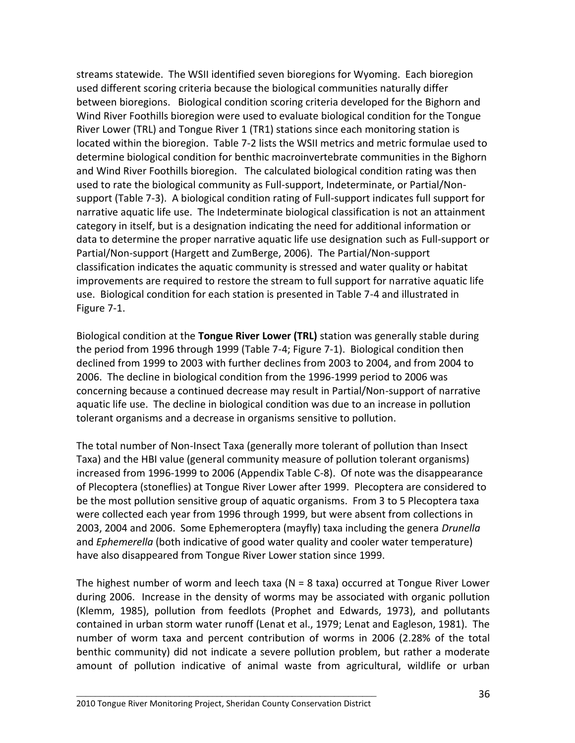streams statewide. The WSII identified seven bioregions for Wyoming. Each bioregion used different scoring criteria because the biological communities naturally differ between bioregions. Biological condition scoring criteria developed for the Bighorn and Wind River Foothills bioregion were used to evaluate biological condition for the Tongue River Lower (TRL) and Tongue River 1 (TR1) stations since each monitoring station is located within the bioregion. Table 7-2 lists the WSII metrics and metric formulae used to determine biological condition for benthic macroinvertebrate communities in the Bighorn and Wind River Foothills bioregion. The calculated biological condition rating was then used to rate the biological community as Full-support, Indeterminate, or Partial/Nonsupport (Table 7-3). A biological condition rating of Full-support indicates full support for narrative aquatic life use. The Indeterminate biological classification is not an attainment category in itself, but is a designation indicating the need for additional information or data to determine the proper narrative aquatic life use designation such as Full-support or Partial/Non-support (Hargett and ZumBerge, 2006). The Partial/Non-support classification indicates the aquatic community is stressed and water quality or habitat improvements are required to restore the stream to full support for narrative aquatic life use. Biological condition for each station is presented in Table 7-4 and illustrated in Figure 7-1.

Biological condition at the **Tongue River Lower (TRL)** station was generally stable during the period from 1996 through 1999 (Table 7-4; Figure 7-1). Biological condition then declined from 1999 to 2003 with further declines from 2003 to 2004, and from 2004 to 2006. The decline in biological condition from the 1996-1999 period to 2006 was concerning because a continued decrease may result in Partial/Non-support of narrative aquatic life use. The decline in biological condition was due to an increase in pollution tolerant organisms and a decrease in organisms sensitive to pollution.

The total number of Non-Insect Taxa (generally more tolerant of pollution than Insect Taxa) and the HBI value (general community measure of pollution tolerant organisms) increased from 1996-1999 to 2006 (Appendix Table C-8). Of note was the disappearance of Plecoptera (stoneflies) at Tongue River Lower after 1999. Plecoptera are considered to be the most pollution sensitive group of aquatic organisms. From 3 to 5 Plecoptera taxa were collected each year from 1996 through 1999, but were absent from collections in 2003, 2004 and 2006. Some Ephemeroptera (mayfly) taxa including the genera *Drunella* and *Ephemerella* (both indicative of good water quality and cooler water temperature) have also disappeared from Tongue River Lower station since 1999.

The highest number of worm and leech taxa ( $N = 8$  taxa) occurred at Tongue River Lower during 2006. Increase in the density of worms may be associated with organic pollution (Klemm, 1985), pollution from feedlots (Prophet and Edwards, 1973), and pollutants contained in urban storm water runoff (Lenat et al., 1979; Lenat and Eagleson, 1981). The number of worm taxa and percent contribution of worms in 2006 (2.28% of the total benthic community) did not indicate a severe pollution problem, but rather a moderate amount of pollution indicative of animal waste from agricultural, wildlife or urban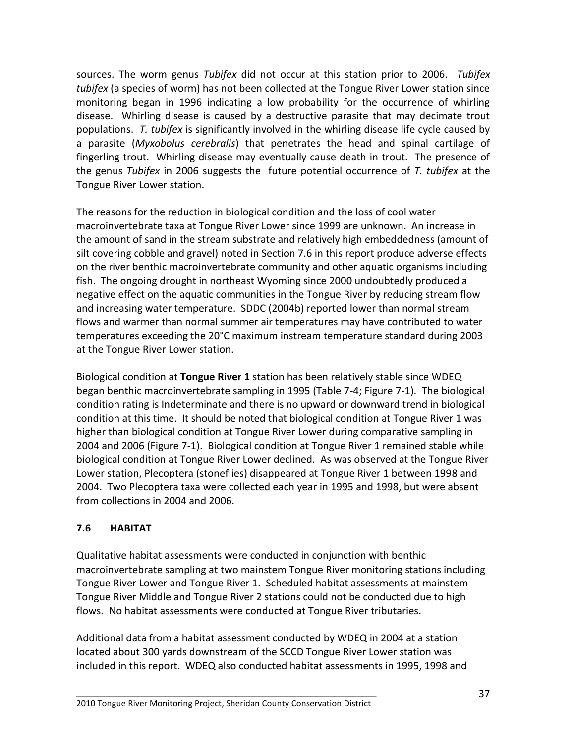sources. The worm genus *Tubifex* did not occur at this station prior to 2006. *Tubifex tubifex* (a species of worm) has not been collected at the Tongue River Lower station since monitoring began in 1996 indicating a low probability for the occurrence of whirling disease. Whirling disease is caused by a destructive parasite that may decimate trout populations. *T. tubifex* is significantly involved in the whirling disease life cycle caused by a parasite (*Myxobolus cerebralis*) that penetrates the head and spinal cartilage of fingerling trout. Whirling disease may eventually cause death in trout. The presence of the genus *Tubifex* in 2006 suggests the future potential occurrence of *T. tubifex* at the Tongue River Lower station.

The reasons for the reduction in biological condition and the loss of cool water macroinvertebrate taxa at Tongue River Lower since 1999 are unknown. An increase in the amount of sand in the stream substrate and relatively high embeddedness (amount of silt covering cobble and gravel) noted in Section 7.6 in this report produce adverse effects on the river benthic macroinvertebrate community and other aquatic organisms including fish. The ongoing drought in northeast Wyoming since 2000 undoubtedly produced a negative effect on the aquatic communities in the Tongue River by reducing stream flow and increasing water temperature. SDDC (2004b) reported lower than normal stream flows and warmer than normal summer air temperatures may have contributed to water temperatures exceeding the 20°C maximum instream temperature standard during 2003 at the Tongue River Lower station.

Biological condition at **Tongue River 1** station has been relatively stable since WDEQ began benthic macroinvertebrate sampling in 1995 (Table 7-4; Figure 7-1). The biological condition rating is Indeterminate and there is no upward or downward trend in biological condition at this time. It should be noted that biological condition at Tongue River 1 was higher than biological condition at Tongue River Lower during comparative sampling in 2004 and 2006 (Figure 7-1). Biological condition at Tongue River 1 remained stable while biological condition at Tongue River Lower declined. As was observed at the Tongue River Lower station, Plecoptera (stoneflies) disappeared at Tongue River 1 between 1998 and 2004. Two Plecoptera taxa were collected each year in 1995 and 1998, but were absent from collections in 2004 and 2006.

# **7.6 HABITAT**

Qualitative habitat assessments were conducted in conjunction with benthic macroinvertebrate sampling at two mainstem Tongue River monitoring stations including Tongue River Lower and Tongue River 1. Scheduled habitat assessments at mainstem Tongue River Middle and Tongue River 2 stations could not be conducted due to high flows. No habitat assessments were conducted at Tongue River tributaries.

Additional data from a habitat assessment conducted by WDEQ in 2004 at a station located about 300 yards downstream of the SCCD Tongue River Lower station was included in this report. WDEQ also conducted habitat assessments in 1995, 1998 and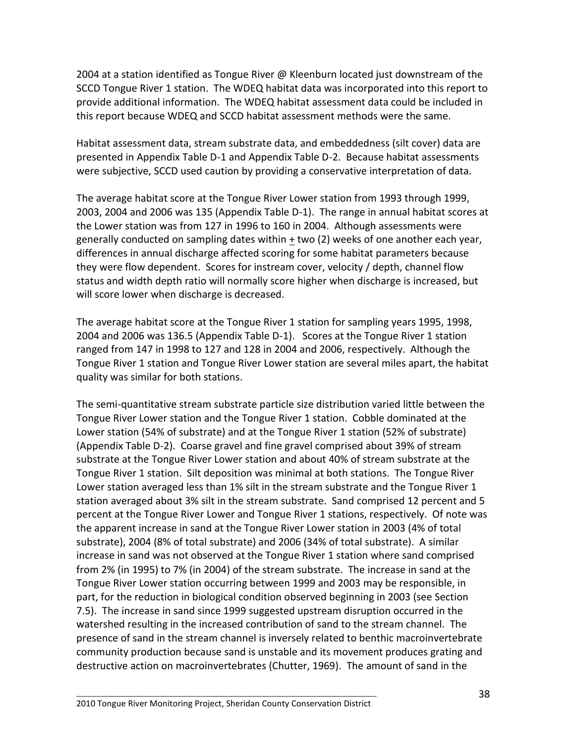2004 at a station identified as Tongue River @ Kleenburn located just downstream of the SCCD Tongue River 1 station. The WDEQ habitat data was incorporated into this report to provide additional information. The WDEQ habitat assessment data could be included in this report because WDEQ and SCCD habitat assessment methods were the same.

Habitat assessment data, stream substrate data, and embeddedness (silt cover) data are presented in Appendix Table D-1 and Appendix Table D-2. Because habitat assessments were subjective, SCCD used caution by providing a conservative interpretation of data.

The average habitat score at the Tongue River Lower station from 1993 through 1999, 2003, 2004 and 2006 was 135 (Appendix Table D-1). The range in annual habitat scores at the Lower station was from 127 in 1996 to 160 in 2004. Although assessments were generally conducted on sampling dates within + two (2) weeks of one another each year, differences in annual discharge affected scoring for some habitat parameters because they were flow dependent. Scores for instream cover, velocity / depth, channel flow status and width depth ratio will normally score higher when discharge is increased, but will score lower when discharge is decreased.

The average habitat score at the Tongue River 1 station for sampling years 1995, 1998, 2004 and 2006 was 136.5 (Appendix Table D-1). Scores at the Tongue River 1 station ranged from 147 in 1998 to 127 and 128 in 2004 and 2006, respectively. Although the Tongue River 1 station and Tongue River Lower station are several miles apart, the habitat quality was similar for both stations.

The semi-quantitative stream substrate particle size distribution varied little between the Tongue River Lower station and the Tongue River 1 station. Cobble dominated at the Lower station (54% of substrate) and at the Tongue River 1 station (52% of substrate) (Appendix Table D-2). Coarse gravel and fine gravel comprised about 39% of stream substrate at the Tongue River Lower station and about 40% of stream substrate at the Tongue River 1 station. Silt deposition was minimal at both stations. The Tongue River Lower station averaged less than 1% silt in the stream substrate and the Tongue River 1 station averaged about 3% silt in the stream substrate. Sand comprised 12 percent and 5 percent at the Tongue River Lower and Tongue River 1 stations, respectively. Of note was the apparent increase in sand at the Tongue River Lower station in 2003 (4% of total substrate), 2004 (8% of total substrate) and 2006 (34% of total substrate). A similar increase in sand was not observed at the Tongue River 1 station where sand comprised from 2% (in 1995) to 7% (in 2004) of the stream substrate. The increase in sand at the Tongue River Lower station occurring between 1999 and 2003 may be responsible, in part, for the reduction in biological condition observed beginning in 2003 (see Section 7.5). The increase in sand since 1999 suggested upstream disruption occurred in the watershed resulting in the increased contribution of sand to the stream channel. The presence of sand in the stream channel is inversely related to benthic macroinvertebrate community production because sand is unstable and its movement produces grating and destructive action on macroinvertebrates (Chutter, 1969). The amount of sand in the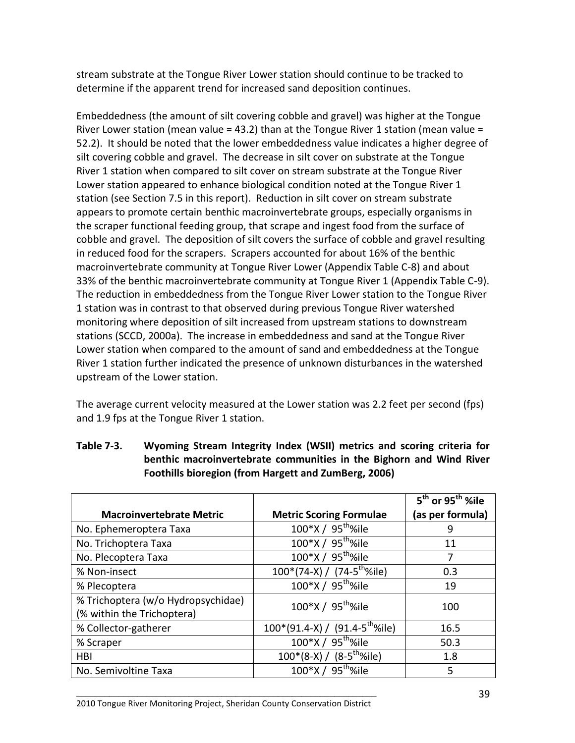stream substrate at the Tongue River Lower station should continue to be tracked to determine if the apparent trend for increased sand deposition continues.

Embeddedness (the amount of silt covering cobble and gravel) was higher at the Tongue River Lower station (mean value = 43.2) than at the Tongue River 1 station (mean value = 52.2). It should be noted that the lower embeddedness value indicates a higher degree of silt covering cobble and gravel. The decrease in silt cover on substrate at the Tongue River 1 station when compared to silt cover on stream substrate at the Tongue River Lower station appeared to enhance biological condition noted at the Tongue River 1 station (see Section 7.5 in this report). Reduction in silt cover on stream substrate appears to promote certain benthic macroinvertebrate groups, especially organisms in the scraper functional feeding group, that scrape and ingest food from the surface of cobble and gravel. The deposition of silt covers the surface of cobble and gravel resulting in reduced food for the scrapers. Scrapers accounted for about 16% of the benthic macroinvertebrate community at Tongue River Lower (Appendix Table C-8) and about 33% of the benthic macroinvertebrate community at Tongue River 1 (Appendix Table C-9). The reduction in embeddedness from the Tongue River Lower station to the Tongue River 1 station was in contrast to that observed during previous Tongue River watershed monitoring where deposition of silt increased from upstream stations to downstream stations (SCCD, 2000a). The increase in embeddedness and sand at the Tongue River Lower station when compared to the amount of sand and embeddedness at the Tongue River 1 station further indicated the presence of unknown disturbances in the watershed upstream of the Lower station.

The average current velocity measured at the Lower station was 2.2 feet per second (fps) and 1.9 fps at the Tongue River 1 station.

|                                    |                                         | 5 <sup>th</sup> or 95 <sup>th</sup> %ile |
|------------------------------------|-----------------------------------------|------------------------------------------|
| <b>Macroinvertebrate Metric</b>    | <b>Metric Scoring Formulae</b>          | (as per formula)                         |
| No. Ephemeroptera Taxa             | 100*X / 95 <sup>th</sup> %ile           | 9                                        |
| No. Trichoptera Taxa               | 100*X / 95 <sup>th</sup> %ile           | 11                                       |
| No. Plecoptera Taxa                | 100*X / 95 <sup>th</sup> %ile           | 7                                        |
| % Non-insect                       | $100*(74-X) / (74-5^{\text{th}}\%$ ile) | 0.3                                      |
| % Plecoptera                       | 100*X / 95 <sup>th</sup> %ile           | 19                                       |
| % Trichoptera (w/o Hydropsychidae) | 100*X / 95 <sup>th</sup> %ile           | 100                                      |
| (% within the Trichoptera)         |                                         |                                          |
| % Collector-gatherer               | $100*(91.4-X) / (91.4-5th%ile)$         | 16.5                                     |
| % Scraper                          | $100*X / 95^{th}$ %ile                  | 50.3                                     |
| HBI                                | $100^*(8-X) / (8-5^{\text{th}}\%$ ile)  | 1.8                                      |
| No. Semivoltine Taxa               | 100*X / 95 <sup>th</sup> %ile           | 5                                        |

### **Table 7-3. Wyoming Stream Integrity Index (WSII) metrics and scoring criteria for benthic macroinvertebrate communities in the Bighorn and Wind River Foothills bioregion (from Hargett and ZumBerg, 2006)**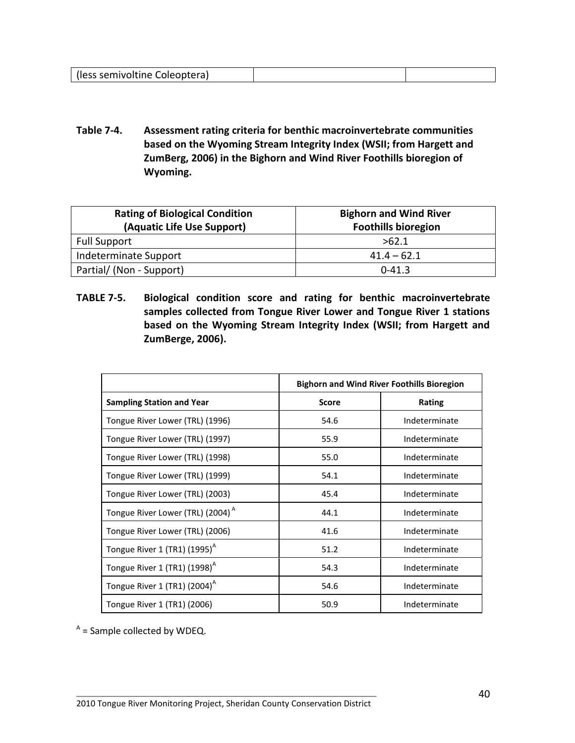| (less semivoltine Coleoptera) |  |
|-------------------------------|--|
|                               |  |

**Table 7-4. Assessment rating criteria for benthic macroinvertebrate communities based on the Wyoming Stream Integrity Index (WSII; from Hargett and ZumBerg, 2006) in the Bighorn and Wind River Foothills bioregion of Wyoming.**

| <b>Rating of Biological Condition</b><br>(Aquatic Life Use Support) | <b>Bighorn and Wind River</b><br><b>Foothills bioregion</b> |  |  |
|---------------------------------------------------------------------|-------------------------------------------------------------|--|--|
| <b>Full Support</b>                                                 | >62.1                                                       |  |  |
| Indeterminate Support                                               | $41.4 - 62.1$                                               |  |  |
| Partial/ (Non - Support)                                            | $0 - 41.3$                                                  |  |  |

**TABLE 7-5. Biological condition score and rating for benthic macroinvertebrate samples collected from Tongue River Lower and Tongue River 1 stations based on the Wyoming Stream Integrity Index (WSII; from Hargett and ZumBerge, 2006).**

|                                              | <b>Bighorn and Wind River Foothills Bioregion</b> |               |  |
|----------------------------------------------|---------------------------------------------------|---------------|--|
| <b>Sampling Station and Year</b>             | <b>Score</b>                                      | Rating        |  |
| Tongue River Lower (TRL) (1996)              | 54.6                                              | Indeterminate |  |
| Tongue River Lower (TRL) (1997)              | 55.9                                              | Indeterminate |  |
| Tongue River Lower (TRL) (1998)              | 55.0                                              | Indeterminate |  |
| Tongue River Lower (TRL) (1999)              | 54.1                                              | Indeterminate |  |
| Tongue River Lower (TRL) (2003)              | 45.4                                              | Indeterminate |  |
| Tongue River Lower (TRL) (2004) <sup>A</sup> | 44.1                                              | Indeterminate |  |
| Tongue River Lower (TRL) (2006)              | 41.6                                              | Indeterminate |  |
| Tongue River 1 (TR1) $(1995)^{A}$            | 51.2                                              | Indeterminate |  |
| Tongue River 1 (TR1) $(1998)^{A}$            | 54.3                                              | Indeterminate |  |
| Tongue River 1 (TR1) $(2004)^A$              | 54.6                                              | Indeterminate |  |
| Tongue River 1 (TR1) (2006)                  | 50.9                                              | Indeterminate |  |

 $A$  = Sample collected by WDEQ.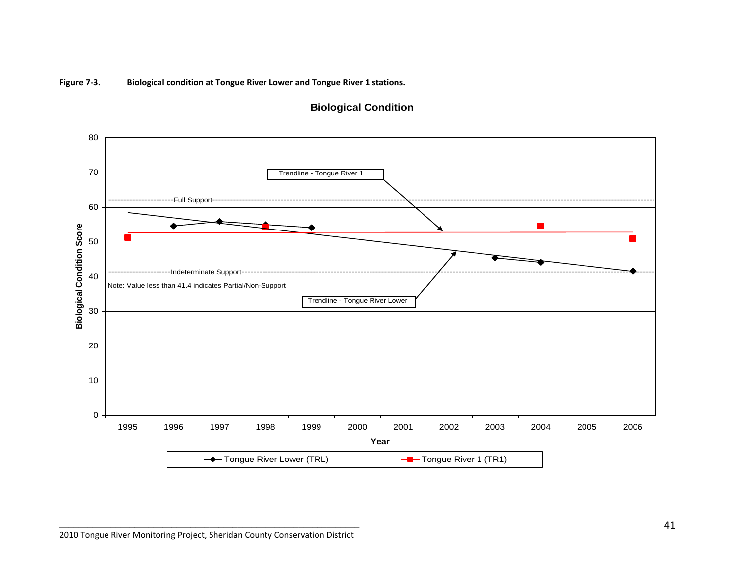**Figure 7-3. Biological condition at Tongue River Lower and Tongue River 1 stations.**

![](_page_43_Figure_1.jpeg)

#### **Biological Condition**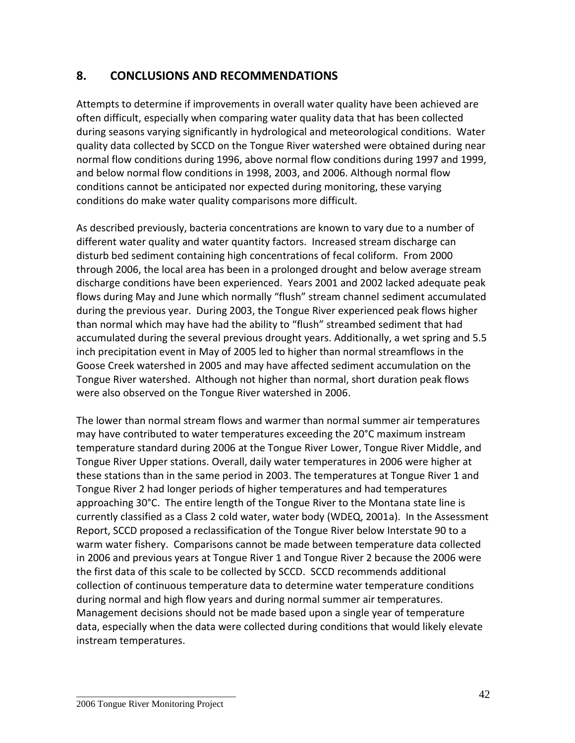# **8. CONCLUSIONS AND RECOMMENDATIONS**

Attempts to determine if improvements in overall water quality have been achieved are often difficult, especially when comparing water quality data that has been collected during seasons varying significantly in hydrological and meteorological conditions. Water quality data collected by SCCD on the Tongue River watershed were obtained during near normal flow conditions during 1996, above normal flow conditions during 1997 and 1999, and below normal flow conditions in 1998, 2003, and 2006. Although normal flow conditions cannot be anticipated nor expected during monitoring, these varying conditions do make water quality comparisons more difficult.

As described previously, bacteria concentrations are known to vary due to a number of different water quality and water quantity factors. Increased stream discharge can disturb bed sediment containing high concentrations of fecal coliform. From 2000 through 2006, the local area has been in a prolonged drought and below average stream discharge conditions have been experienced. Years 2001 and 2002 lacked adequate peak flows during May and June which normally "flush" stream channel sediment accumulated during the previous year. During 2003, the Tongue River experienced peak flows higher than normal which may have had the ability to "flush" streambed sediment that had accumulated during the several previous drought years. Additionally, a wet spring and 5.5 inch precipitation event in May of 2005 led to higher than normal streamflows in the Goose Creek watershed in 2005 and may have affected sediment accumulation on the Tongue River watershed. Although not higher than normal, short duration peak flows were also observed on the Tongue River watershed in 2006.

The lower than normal stream flows and warmer than normal summer air temperatures may have contributed to water temperatures exceeding the 20°C maximum instream temperature standard during 2006 at the Tongue River Lower, Tongue River Middle, and Tongue River Upper stations. Overall, daily water temperatures in 2006 were higher at these stations than in the same period in 2003. The temperatures at Tongue River 1 and Tongue River 2 had longer periods of higher temperatures and had temperatures approaching 30°C. The entire length of the Tongue River to the Montana state line is currently classified as a Class 2 cold water, water body (WDEQ, 2001a). In the Assessment Report, SCCD proposed a reclassification of the Tongue River below Interstate 90 to a warm water fishery. Comparisons cannot be made between temperature data collected in 2006 and previous years at Tongue River 1 and Tongue River 2 because the 2006 were the first data of this scale to be collected by SCCD. SCCD recommends additional collection of continuous temperature data to determine water temperature conditions during normal and high flow years and during normal summer air temperatures. Management decisions should not be made based upon a single year of temperature data, especially when the data were collected during conditions that would likely elevate instream temperatures.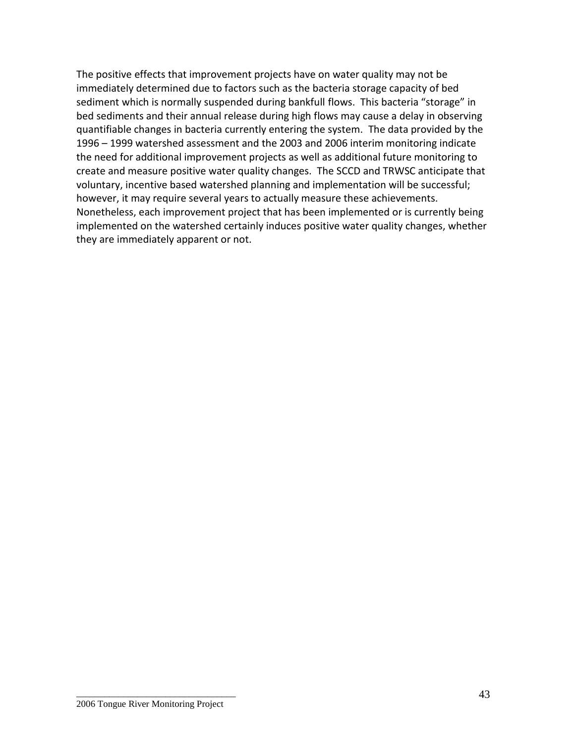The positive effects that improvement projects have on water quality may not be immediately determined due to factors such as the bacteria storage capacity of bed sediment which is normally suspended during bankfull flows. This bacteria "storage" in bed sediments and their annual release during high flows may cause a delay in observing quantifiable changes in bacteria currently entering the system. The data provided by the 1996 – 1999 watershed assessment and the 2003 and 2006 interim monitoring indicate the need for additional improvement projects as well as additional future monitoring to create and measure positive water quality changes. The SCCD and TRWSC anticipate that voluntary, incentive based watershed planning and implementation will be successful; however, it may require several years to actually measure these achievements. Nonetheless, each improvement project that has been implemented or is currently being implemented on the watershed certainly induces positive water quality changes, whether they are immediately apparent or not.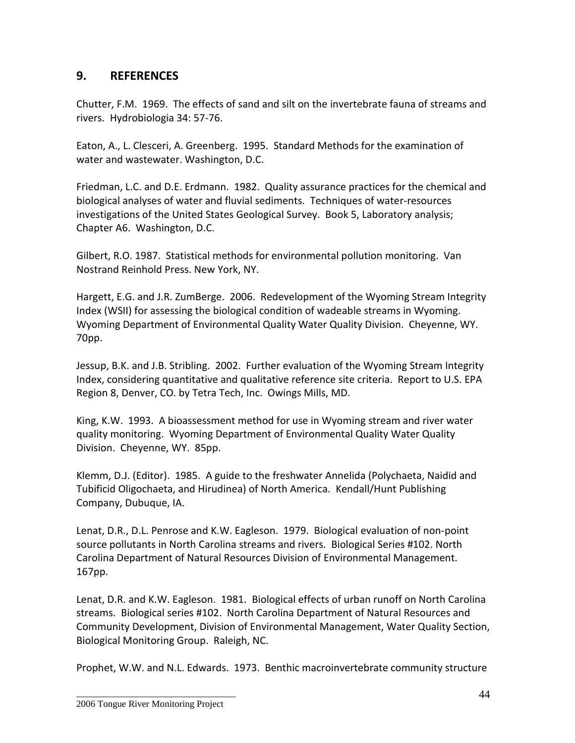# **9. REFERENCES**

Chutter, F.M. 1969. The effects of sand and silt on the invertebrate fauna of streams and rivers. Hydrobiologia 34: 57-76.

Eaton, A., L. Clesceri, A. Greenberg. 1995. Standard Methods for the examination of water and wastewater. Washington, D.C.

Friedman, L.C. and D.E. Erdmann. 1982. Quality assurance practices for the chemical and biological analyses of water and fluvial sediments. Techniques of water-resources investigations of the United States Geological Survey. Book 5, Laboratory analysis; Chapter A6. Washington, D.C.

Gilbert, R.O. 1987. Statistical methods for environmental pollution monitoring. Van Nostrand Reinhold Press. New York, NY.

Hargett, E.G. and J.R. ZumBerge. 2006. Redevelopment of the Wyoming Stream Integrity Index (WSII) for assessing the biological condition of wadeable streams in Wyoming. Wyoming Department of Environmental Quality Water Quality Division. Cheyenne, WY. 70pp.

Jessup, B.K. and J.B. Stribling. 2002. Further evaluation of the Wyoming Stream Integrity Index, considering quantitative and qualitative reference site criteria. Report to U.S. EPA Region 8, Denver, CO. by Tetra Tech, Inc. Owings Mills, MD.

King, K.W. 1993. A bioassessment method for use in Wyoming stream and river water quality monitoring. Wyoming Department of Environmental Quality Water Quality Division. Cheyenne, WY. 85pp.

Klemm, D.J. (Editor). 1985. A guide to the freshwater Annelida (Polychaeta, Naidid and Tubificid Oligochaeta, and Hirudinea) of North America. Kendall/Hunt Publishing Company, Dubuque, IA.

Lenat, D.R., D.L. Penrose and K.W. Eagleson. 1979. Biological evaluation of non-point source pollutants in North Carolina streams and rivers. Biological Series #102. North Carolina Department of Natural Resources Division of Environmental Management. 167pp.

Lenat, D.R. and K.W. Eagleson. 1981. Biological effects of urban runoff on North Carolina streams. Biological series #102. North Carolina Department of Natural Resources and Community Development, Division of Environmental Management, Water Quality Section, Biological Monitoring Group. Raleigh, NC.

Prophet, W.W. and N.L. Edwards. 1973. Benthic macroinvertebrate community structure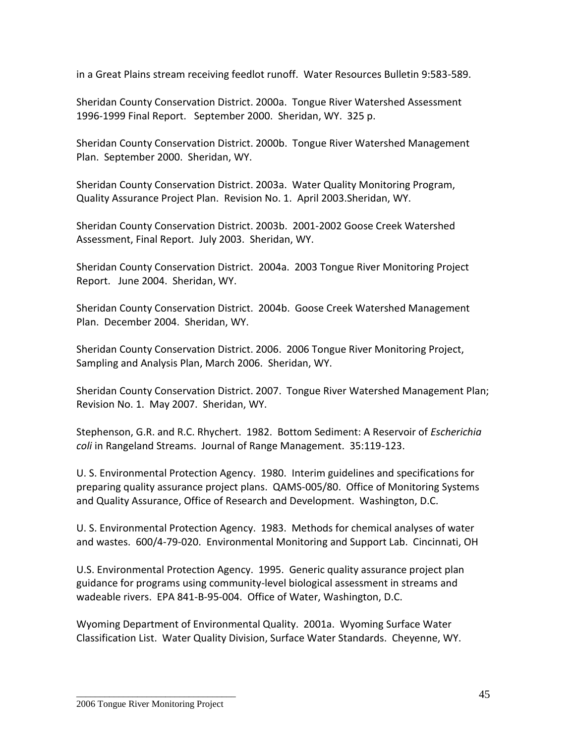in a Great Plains stream receiving feedlot runoff. Water Resources Bulletin 9:583-589.

Sheridan County Conservation District. 2000a. Tongue River Watershed Assessment 1996-1999 Final Report. September 2000. Sheridan, WY. 325 p.

Sheridan County Conservation District. 2000b. Tongue River Watershed Management Plan. September 2000. Sheridan, WY.

Sheridan County Conservation District. 2003a. Water Quality Monitoring Program, Quality Assurance Project Plan. Revision No. 1. April 2003.Sheridan, WY.

Sheridan County Conservation District. 2003b. 2001-2002 Goose Creek Watershed Assessment, Final Report. July 2003. Sheridan, WY.

Sheridan County Conservation District. 2004a. 2003 Tongue River Monitoring Project Report. June 2004. Sheridan, WY.

Sheridan County Conservation District. 2004b. Goose Creek Watershed Management Plan. December 2004. Sheridan, WY.

Sheridan County Conservation District. 2006. 2006 Tongue River Monitoring Project, Sampling and Analysis Plan, March 2006. Sheridan, WY.

Sheridan County Conservation District. 2007. Tongue River Watershed Management Plan; Revision No. 1. May 2007. Sheridan, WY.

Stephenson, G.R. and R.C. Rhychert. 1982. Bottom Sediment: A Reservoir of *Escherichia coli* in Rangeland Streams. Journal of Range Management. 35:119-123.

U. S. Environmental Protection Agency. 1980. Interim guidelines and specifications for preparing quality assurance project plans. QAMS-005/80. Office of Monitoring Systems and Quality Assurance, Office of Research and Development. Washington, D.C.

U. S. Environmental Protection Agency. 1983. Methods for chemical analyses of water and wastes. 600/4-79-020. Environmental Monitoring and Support Lab. Cincinnati, OH

U.S. Environmental Protection Agency. 1995. Generic quality assurance project plan guidance for programs using community-level biological assessment in streams and wadeable rivers. EPA 841-B-95-004. Office of Water, Washington, D.C.

Wyoming Department of Environmental Quality. 2001a. Wyoming Surface Water Classification List. Water Quality Division, Surface Water Standards. Cheyenne, WY.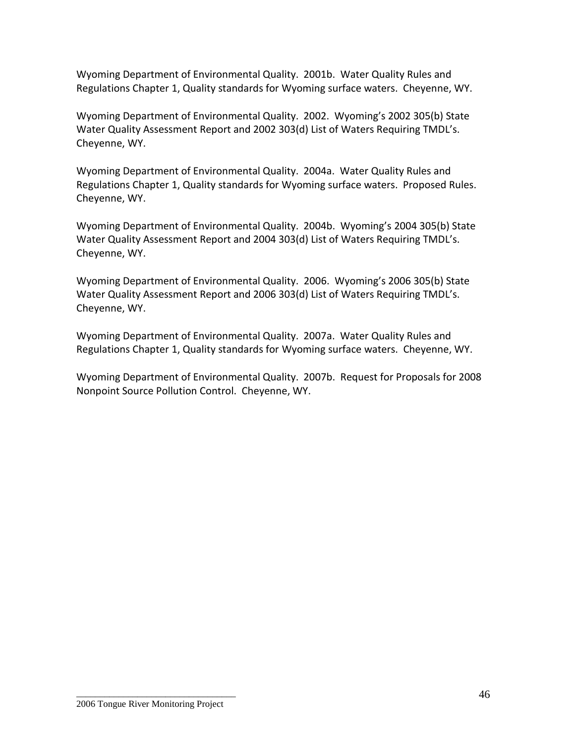Wyoming Department of Environmental Quality. 2001b. Water Quality Rules and Regulations Chapter 1, Quality standards for Wyoming surface waters. Cheyenne, WY.

Wyoming Department of Environmental Quality. 2002. Wyoming's 2002 305(b) State Water Quality Assessment Report and 2002 303(d) List of Waters Requiring TMDL's. Cheyenne, WY.

Wyoming Department of Environmental Quality. 2004a. Water Quality Rules and Regulations Chapter 1, Quality standards for Wyoming surface waters. Proposed Rules. Cheyenne, WY.

Wyoming Department of Environmental Quality. 2004b. Wyoming's 2004 305(b) State Water Quality Assessment Report and 2004 303(d) List of Waters Requiring TMDL's. Cheyenne, WY.

Wyoming Department of Environmental Quality. 2006. Wyoming's 2006 305(b) State Water Quality Assessment Report and 2006 303(d) List of Waters Requiring TMDL's. Cheyenne, WY.

Wyoming Department of Environmental Quality. 2007a. Water Quality Rules and Regulations Chapter 1, Quality standards for Wyoming surface waters. Cheyenne, WY.

Wyoming Department of Environmental Quality. 2007b. Request for Proposals for 2008 Nonpoint Source Pollution Control. Cheyenne, WY.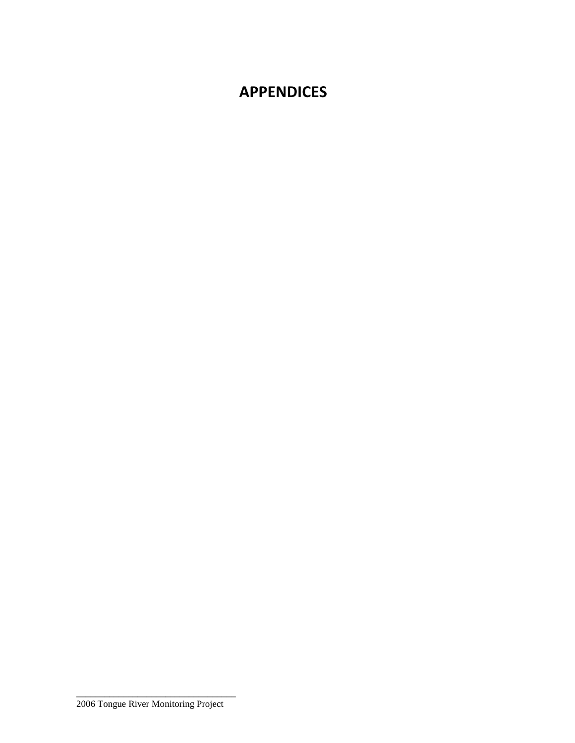# **APPENDICES**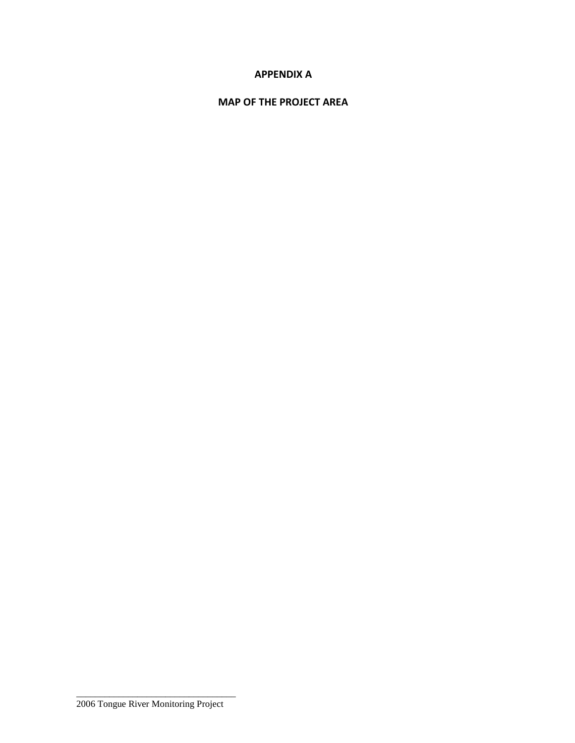## **APPENDIX A**

### **MAP OF THE PROJECT AREA**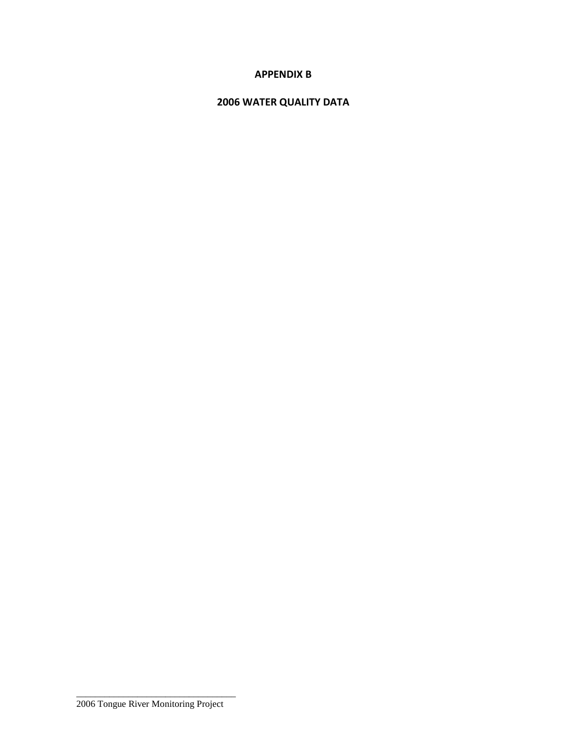# **APPENDIX B**

# **2006 WATER QUALITY DATA**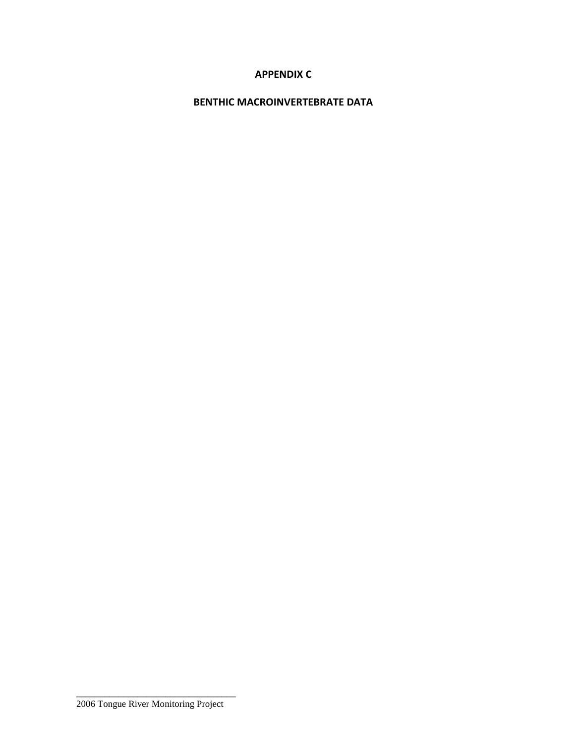# **APPENDIX C**

# **BENTHIC MACROINVERTEBRATE DATA**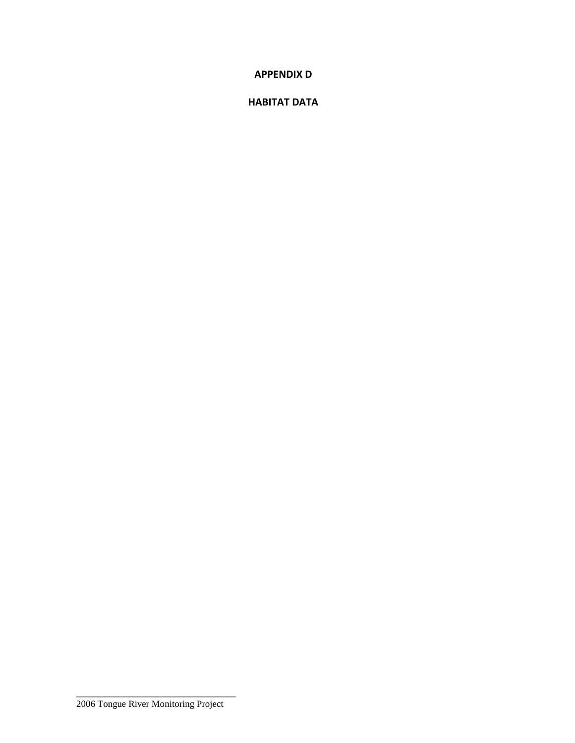**APPENDIX D**

### **HABITAT DATA**